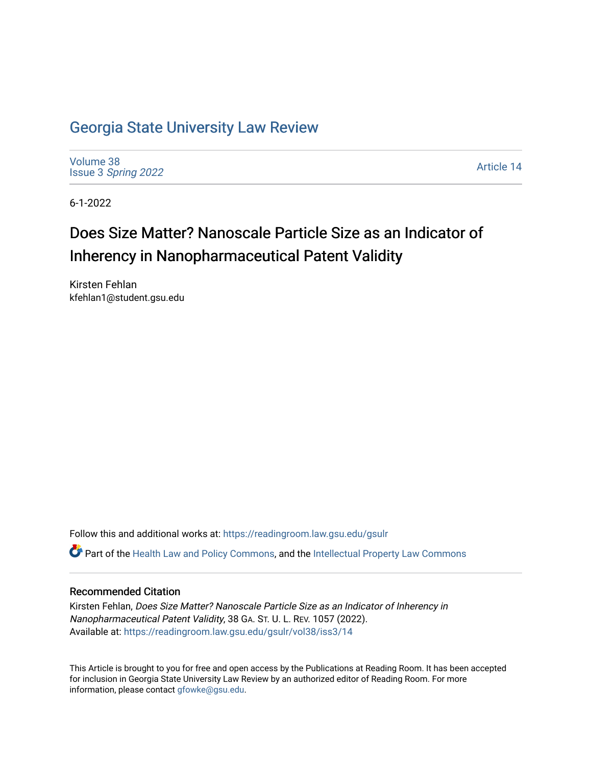## [Georgia State University Law Review](https://readingroom.law.gsu.edu/gsulr)

[Volume 38](https://readingroom.law.gsu.edu/gsulr/vol38) Issue 3 [Spring 2022](https://readingroom.law.gsu.edu/gsulr/vol38/iss3) 

[Article 14](https://readingroom.law.gsu.edu/gsulr/vol38/iss3/14) 

6-1-2022

# Does Size Matter? Nanoscale Particle Size as an Indicator of Inherency in Nanopharmaceutical Patent Validity

Kirsten Fehlan kfehlan1@student.gsu.edu

Follow this and additional works at: [https://readingroom.law.gsu.edu/gsulr](https://readingroom.law.gsu.edu/gsulr?utm_source=readingroom.law.gsu.edu%2Fgsulr%2Fvol38%2Fiss3%2F14&utm_medium=PDF&utm_campaign=PDFCoverPages) 

Part of the [Health Law and Policy Commons](https://network.bepress.com/hgg/discipline/901?utm_source=readingroom.law.gsu.edu%2Fgsulr%2Fvol38%2Fiss3%2F14&utm_medium=PDF&utm_campaign=PDFCoverPages), and the [Intellectual Property Law Commons](https://network.bepress.com/hgg/discipline/896?utm_source=readingroom.law.gsu.edu%2Fgsulr%2Fvol38%2Fiss3%2F14&utm_medium=PDF&utm_campaign=PDFCoverPages) 

### Recommended Citation

Kirsten Fehlan, Does Size Matter? Nanoscale Particle Size as an Indicator of Inherency in Nanopharmaceutical Patent Validity, 38 GA. ST. U. L. REV. 1057 (2022). Available at: [https://readingroom.law.gsu.edu/gsulr/vol38/iss3/14](https://readingroom.law.gsu.edu/gsulr/vol38/iss3/14?utm_source=readingroom.law.gsu.edu%2Fgsulr%2Fvol38%2Fiss3%2F14&utm_medium=PDF&utm_campaign=PDFCoverPages) 

This Article is brought to you for free and open access by the Publications at Reading Room. It has been accepted for inclusion in Georgia State University Law Review by an authorized editor of Reading Room. For more information, please contact [gfowke@gsu.edu.](mailto:gfowke@gsu.edu)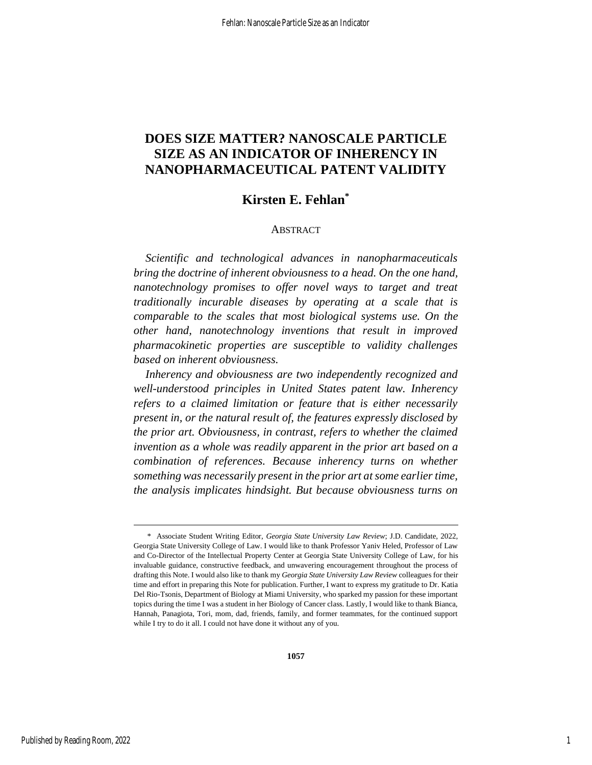## **DOES SIZE MATTER? NANOSCALE PARTICLE SIZE AS AN INDICATOR OF INHERENCY IN NANOPHARMACEUTICAL PATENT VALIDITY**

## **Kirsten E. Fehlan\***

### ABSTRACT

*Scientific and technological advances in nanopharmaceuticals bring the doctrine of inherent obviousness to a head. On the one hand, nanotechnology promises to offer novel ways to target and treat traditionally incurable diseases by operating at a scale that is comparable to the scales that most biological systems use. On the other hand, nanotechnology inventions that result in improved pharmacokinetic properties are susceptible to validity challenges based on inherent obviousness.*

*Inherency and obviousness are two independently recognized and well-understood principles in United States patent law. Inherency refers to a claimed limitation or feature that is either necessarily present in, or the natural result of, the features expressly disclosed by the prior art. Obviousness, in contrast, refers to whether the claimed invention as a whole was readily apparent in the prior art based on a combination of references. Because inherency turns on whether something was necessarily present in the prior art at some earlier time, the analysis implicates hindsight. But because obviousness turns on* 

<sup>\*</sup> Associate Student Writing Editor, *Georgia State University Law Review*; J.D. Candidate, 2022, Georgia State University College of Law. I would like to thank Professor Yaniv Heled, Professor of Law and Co-Director of the Intellectual Property Center at Georgia State University College of Law, for his invaluable guidance, constructive feedback, and unwavering encouragement throughout the process of drafting this Note. I would also like to thank my *Georgia State University Law Review* colleagues for their time and effort in preparing this Note for publication. Further, I want to express my gratitude to Dr. Katia Del Rio-Tsonis, Department of Biology at Miami University, who sparked my passion for these important topics during the time I was a student in her Biology of Cancer class. Lastly, I would like to thank Bianca, Hannah, Panagiota, Tori, mom, dad, friends, family, and former teammates, for the continued support while I try to do it all. I could not have done it without any of you.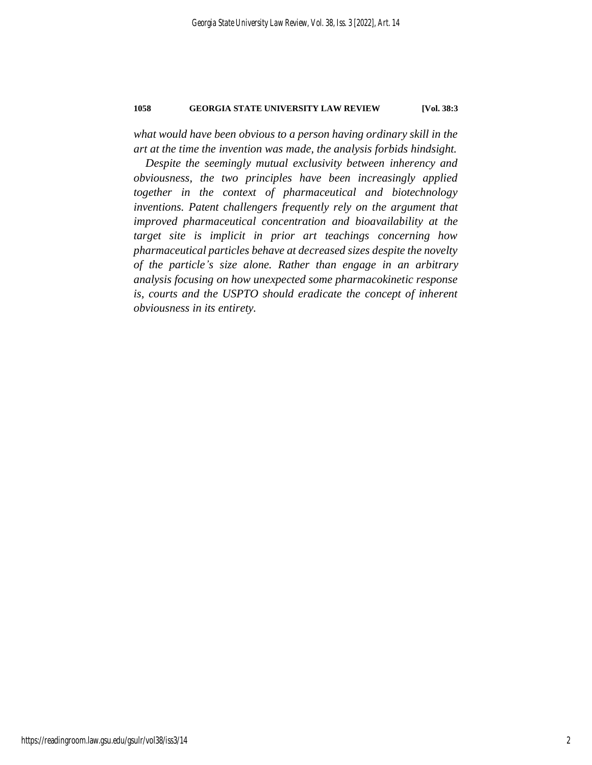*what would have been obvious to a person having ordinary skill in the art at the time the invention was made, the analysis forbids hindsight.*

*Despite the seemingly mutual exclusivity between inherency and obviousness, the two principles have been increasingly applied together in the context of pharmaceutical and biotechnology inventions. Patent challengers frequently rely on the argument that improved pharmaceutical concentration and bioavailability at the target site is implicit in prior art teachings concerning how pharmaceutical particles behave at decreased sizes despite the novelty of the particle's size alone. Rather than engage in an arbitrary analysis focusing on how unexpected some pharmacokinetic response is, courts and the USPTO should eradicate the concept of inherent obviousness in its entirety.*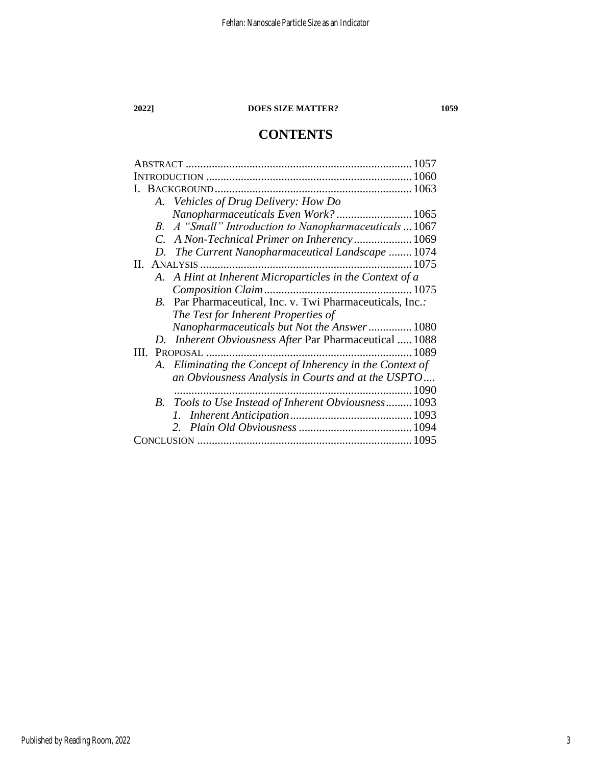## **CONTENTS**

|                                                           | 1057 |
|-----------------------------------------------------------|------|
|                                                           |      |
|                                                           |      |
| A. Vehicles of Drug Delivery: How Do                      |      |
| Nanopharmaceuticals Even Work?  1065                      |      |
| B. A "Small" Introduction to Nanopharmaceuticals  1067    |      |
| C. A Non-Technical Primer on Inherency 1069               |      |
| D. The Current Nanopharmaceutical Landscape  1074         |      |
| П.                                                        |      |
| A. A Hint at Inherent Microparticles in the Context of a  |      |
|                                                           |      |
| B. Par Pharmaceutical, Inc. v. Twi Pharmaceuticals, Inc.: |      |
| The Test for Inherent Properties of                       |      |
| Nanopharmaceuticals but Not the Answer 1080               |      |
| D. Inherent Obviousness After Par Pharmaceutical  1088    |      |
| <b>III. PROPOSAL</b>                                      |      |
| A. Eliminating the Concept of Inherency in the Context of |      |
| an Obviousness Analysis in Courts and at the USPTO        |      |
|                                                           |      |
| Tools to Use Instead of Inherent Obviousness 1093<br>B.   |      |
|                                                           |      |
|                                                           |      |
|                                                           |      |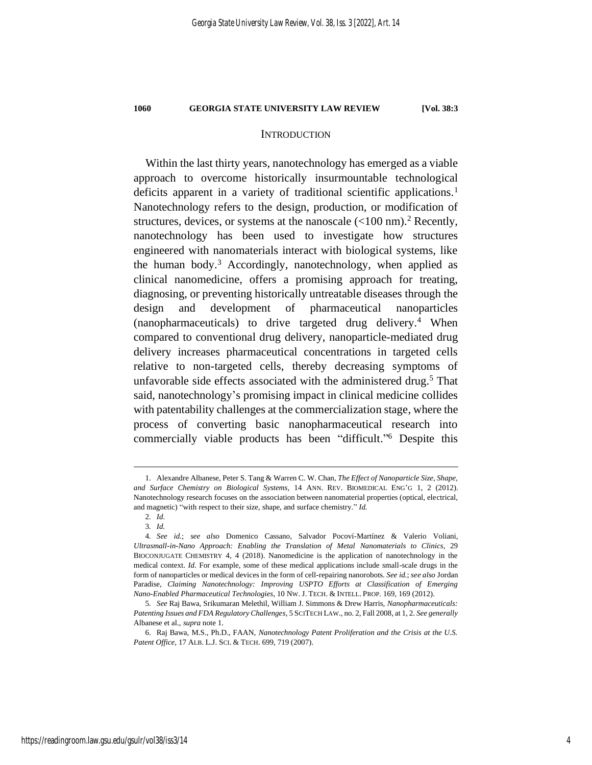<span id="page-4-3"></span><span id="page-4-1"></span><span id="page-4-0"></span>

### **INTRODUCTION**

Within the last thirty years, nanotechnology has emerged as a viable approach to overcome historically insurmountable technological deficits apparent in a variety of traditional scientific applications.<sup>1</sup> Nanotechnology refers to the design, production, or modification of structures, devices, or systems at the nanoscale (<100 nm). <sup>2</sup> Recently, nanotechnology has been used to investigate how structures engineered with nanomaterials interact with biological systems, like the human body.<sup>3</sup> Accordingly, nanotechnology, when applied as clinical nanomedicine, offers a promising approach for treating, diagnosing, or preventing historically untreatable diseases through the design and development of pharmaceutical nanoparticles (nanopharmaceuticals) to drive targeted drug delivery.<sup>4</sup> When compared to conventional drug delivery, nanoparticle-mediated drug delivery increases pharmaceutical concentrations in targeted cells relative to non-targeted cells, thereby decreasing symptoms of unfavorable side effects associated with the administered drug. <sup>5</sup> That said, nanotechnology's promising impact in clinical medicine collides with patentability challenges at the commercialization stage, where the process of converting basic nanopharmaceutical research into commercially viable products has been "difficult." <sup>6</sup> Despite this

<sup>1.</sup> Alexandre Albanese, Peter S. Tang & Warren C. W. Chan, *The Effect of Nanoparticle Size, Shape, and Surface Chemistry on Biological Systems*, 14 ANN. REV. BIOMEDICAL ENG'G 1, 2 (2012). Nanotechnology research focuses on the association between nanomaterial properties (optical, electrical, and magnetic) "with respect to their size, shape, and surface chemistry." *Id.*

<span id="page-4-2"></span><sup>2</sup>*. Id.*

<sup>3</sup>*. Id.*

<sup>4</sup>*. See id.*; *see also* Domenico Cassano, Salvador Pocoví-Martínez & Valerio Voliani, *Ultrasmall-in-Nano Approach: Enabling the Translation of Metal Nanomaterials to Clinics*, 29 BIOCONJUGATE CHEMISTRY 4, 4 (2018). Nanomedicine is the application of nanotechnology in the medical context. *Id.* For example, some of these medical applications include small-scale drugs in the form of nanoparticles or medical devices in the form of cell-repairing nanorobots. *See id.*; *see also* Jordan Paradise, *Claiming Nanotechnology: Improving USPTO Efforts at Classification of Emerging Nano-Enabled Pharmaceutical Technologies*, 10 NW. J. TECH. & INTELL. PROP. 169, 169 (2012).

<sup>5</sup>*. See* Raj Bawa, Srikumaran Melethil, William J. Simmons & Drew Harris, *Nanopharmaceuticals: Patenting Issues and FDA Regulatory Challenges*, 5 SCITECH LAW., no. 2, Fall 2008, at 1, 2. *See generally* Albanese et al., *supra* not[e 1.](#page-4-0)

<sup>6.</sup> Raj Bawa, M.S., Ph.D., FAAN, *Nanotechnology Patent Proliferation and the Crisis at the U.S. Patent Office*, 17 ALB. L.J. SCI. & TECH. 699, 719 (2007).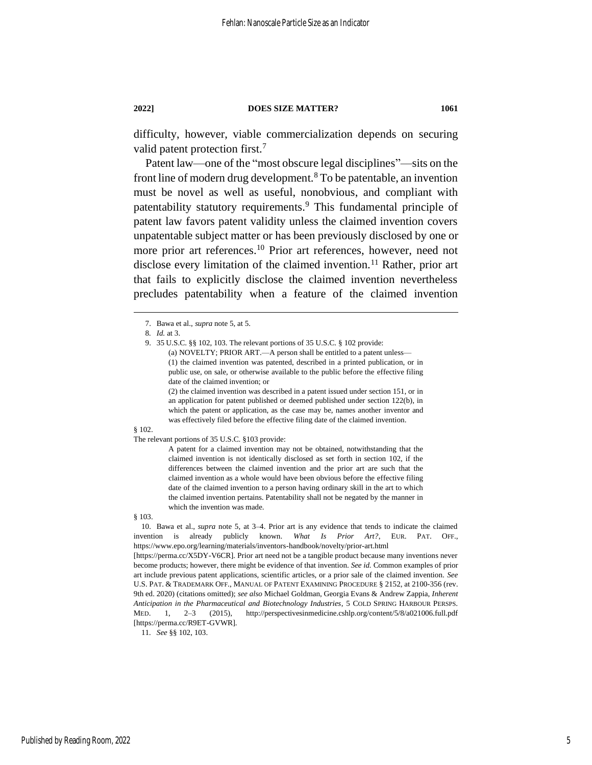difficulty, however, viable commercialization depends on securing valid patent protection first.<sup>7</sup>

Patent law––one of the "most obscure legal disciplines"––sits on the front line of modern drug development.<sup>8</sup> To be patentable, an invention must be novel as well as useful, nonobvious, and compliant with patentability statutory requirements.<sup>9</sup> This fundamental principle of patent law favors patent validity unless the claimed invention covers unpatentable subject matter or has been previously disclosed by one or more prior art references.<sup>10</sup> Prior art references, however, need not disclose every limitation of the claimed invention.<sup>11</sup> Rather, prior art that fails to explicitly disclose the claimed invention nevertheless precludes patentability when a feature of the claimed invention

(a) NOVELTY; PRIOR ART.—A person shall be entitled to a patent unless— (1) the claimed invention was patented, described in a printed publication, or in public use, on sale, or otherwise available to the public before the effective filing date of the claimed invention; or

(2) the claimed invention was described in a patent issued under section 151, or in an application for patent published or deemed published under section 122(b), in which the patent or application, as the case may be, names another inventor and was effectively filed before the effective filing date of the claimed invention.

#### § 102.

The relevant portions of 35 U.S.C. §103 provide:

A patent for a claimed invention may not be obtained, notwithstanding that the claimed invention is not identically disclosed as set forth in section 102, if the differences between the claimed invention and the prior art are such that the claimed invention as a whole would have been obvious before the effective filing date of the claimed invention to a person having ordinary skill in the art to which the claimed invention pertains. Patentability shall not be negated by the manner in which the invention was made.

§ 103.

10. Bawa et al., *supra* note [5,](#page-4-1) at 3–4. Prior art is any evidence that tends to indicate the claimed invention is already publicly known. *What Is Prior Art?*, EUR. PAT. OFF., https://www.epo.org/learning/materials/inventors-handbook/novelty/prior-art.html

[https://perma.cc/X5DY-V6CR]. Prior art need not be a tangible product because many inventions never become products; however, there might be evidence of that invention. *See id.* Common examples of prior art include previous patent applications, scientific articles, or a prior sale of the claimed invention. *See* U.S. PAT. & TRADEMARK OFF., MANUAL OF PATENT EXAMINING PROCEDURE § 2152, at 2100-356 (rev. 9th ed. 2020) (citations omitted); *see also* Michael Goldman, Georgia Evans & Andrew Zappia, *Inherent Anticipation in the Pharmaceutical and Biotechnology Industries*, 5 COLD SPRING HARBOUR PERSPS. MED. 1, 2–3 (2015), http://perspectivesinmedicine.cshlp.org/content/5/8/a021006.full.pdf [https://perma.cc/R9ET-GVWR].

11*. See* §§ 102, 103.

<span id="page-5-0"></span><sup>7.</sup> Bawa et al., *supra* note [5,](#page-4-1) at 5.

<sup>8</sup>*. Id.* at 3.

<sup>9.</sup> 35 U.S.C. §§ 102, 103. The relevant portions of 35 U.S.C. § 102 provide: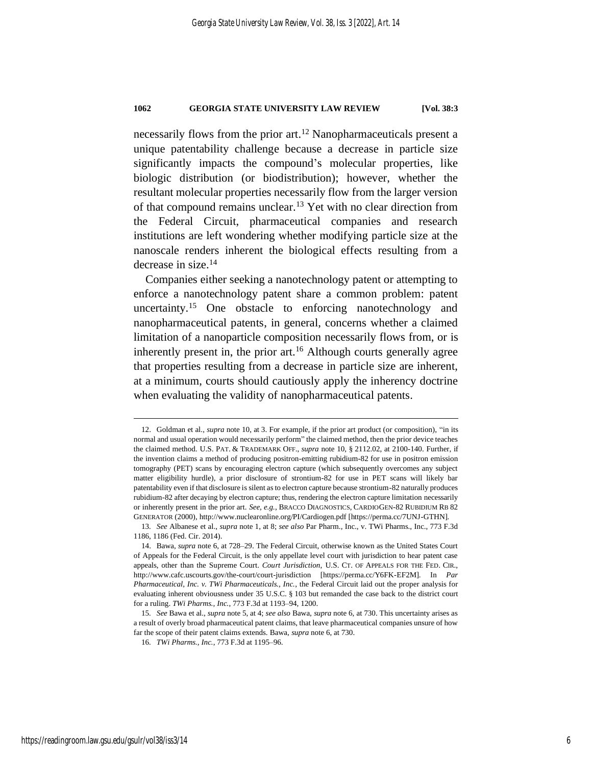necessarily flows from the prior art. <sup>12</sup> Nanopharmaceuticals present a unique patentability challenge because a decrease in particle size significantly impacts the compound's molecular properties, like biologic distribution (or biodistribution); however, whether the resultant molecular properties necessarily flow from the larger version of that compound remains unclear.<sup>13</sup> Yet with no clear direction from the Federal Circuit, pharmaceutical companies and research institutions are left wondering whether modifying particle size at the nanoscale renders inherent the biological effects resulting from a decrease in size. 14

<span id="page-6-0"></span>Companies either seeking a nanotechnology patent or attempting to enforce a nanotechnology patent share a common problem: patent uncertainty.<sup>15</sup> One obstacle to enforcing nanotechnology and nanopharmaceutical patents, in general, concerns whether a claimed limitation of a nanoparticle composition necessarily flows from, or is inherently present in, the prior  $art<sup>16</sup>$  Although courts generally agree that properties resulting from a decrease in particle size are inherent, at a minimum, courts should cautiously apply the inherency doctrine when evaluating the validity of nanopharmaceutical patents.

<sup>12.</sup> Goldman et al., *supra* not[e 10,](#page-5-0) at 3. For example, if the prior art product (or composition), "in its normal and usual operation would necessarily perform" the claimed method, then the prior device teaches the claimed method. U.S. PAT. & TRADEMARK OFF., *supra* not[e 10,](#page-5-0) § 2112.02, at 2100-140. Further, if the invention claims a method of producing positron-emitting rubidium-82 for use in positron emission tomography (PET) scans by encouraging electron capture (which subsequently overcomes any subject matter eligibility hurdle), a prior disclosure of strontium-82 for use in PET scans will likely bar patentability even if that disclosure is silent as to electron capture because strontium-82 naturally produces rubidium-82 after decaying by electron capture; thus, rendering the electron capture limitation necessarily or inherently present in the prior art. *See, e.g.*, BRACCO DIAGNOSTICS, CARDIOGEN-82 RUBIDIUM RB 82 GENERATOR (2000), http://www.nuclearonline.org/PI/Cardiogen.pdf [https://perma.cc/7UNJ-GTHN].

<sup>13</sup>*. See* Albanese et al., *supra* note [1,](#page-4-0) at 8; *see also* Par Pharm., Inc., v. TWi Pharms., Inc., 773 F.3d 1186, 1186 (Fed. Cir. 2014).

<sup>14.</sup> Bawa, *supra* not[e 6,](#page-4-2) at 728–29. The Federal Circuit, otherwise known as the United States Court of Appeals for the Federal Circuit, is the only appellate level court with jurisdiction to hear patent case appeals, other than the Supreme Court. *Court Jurisdiction*, U.S. CT. OF APPEALS FOR THE FED. CIR., http://www.cafc.uscourts.gov/the-court/court-jurisdiction [https://perma.cc/Y6FK-EF2M]. In *Par Pharmaceutical, Inc. v. TWi Pharmaceuticals., Inc.*, the Federal Circuit laid out the proper analysis for evaluating inherent obviousness under 35 U.S.C. § 103 but remanded the case back to the district court for a ruling. *TWi Pharms., Inc.*, 773 F.3d at 1193–94, 1200.

<sup>15</sup>*. See* Bawa et al., *supra* note 5, at 4; *see also* Bawa, *supra* note [6,](#page-4-2) at 730. This uncertainty arises as a result of overly broad pharmaceutical patent claims, that leave pharmaceutical companies unsure of how far the scope of their patent claims extends. Bawa, *supra* not[e 6,](#page-4-2) at 730.

<sup>16</sup>*. TWi Pharms., Inc.*, 773 F.3d at 1195–96.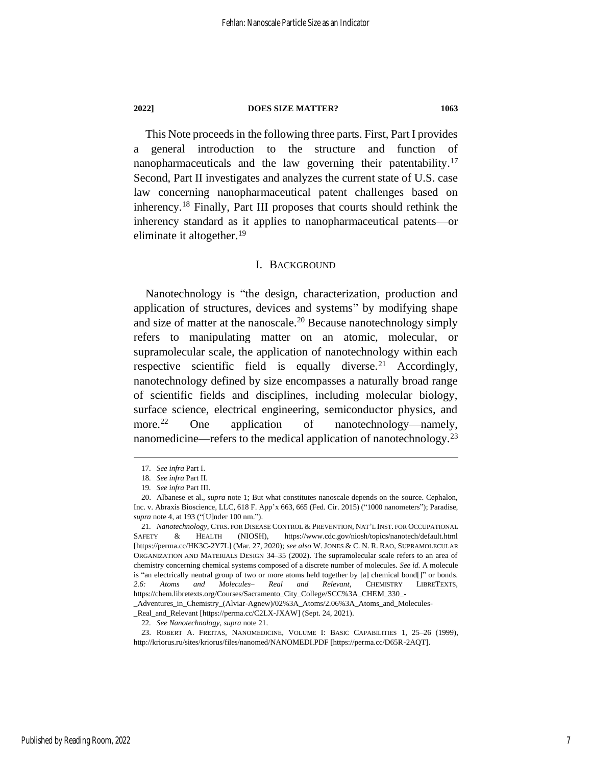This Note proceeds in the following three parts. First, Part I provides a general introduction to the structure and function of nanopharmaceuticals and the law governing their patentability.<sup>17</sup> Second, Part II investigates and analyzes the current state of U.S. case law concerning nanopharmaceutical patent challenges based on inherency.<sup>18</sup> Finally, Part III proposes that courts should rethink the inherency standard as it applies to nanopharmaceutical patents––or eliminate it altogether. 19

### <span id="page-7-0"></span>I. BACKGROUND

Nanotechnology is "the design, characterization, production and application of structures, devices and systems" by modifying shape and size of matter at the nanoscale.<sup>20</sup> Because nanotechnology simply refers to manipulating matter on an atomic, molecular, or supramolecular scale, the application of nanotechnology within each respective scientific field is equally diverse.<sup>21</sup> Accordingly, nanotechnology defined by size encompasses a naturally broad range of scientific fields and disciplines, including molecular biology, surface science, electrical engineering, semiconductor physics, and more.<sup>22</sup> One application of nanotechnology—namely, nanomedicine—refers to the medical application of nanotechnology.<sup>23</sup>

\_Adventures\_in\_Chemistry\_(Alviar-Agnew)/02%3A\_Atoms/2.06%3A\_Atoms\_and\_Molecules- \_Real\_and\_Relevant [https://perma.cc/C2LX-JXAW] (Sept. 24, 2021).

22*. See Nanotechnology*, *supra* not[e 21.](#page-7-0)

<sup>17</sup>*. See infra* Part I.

<sup>18</sup>*. See infra* Part II.

<sup>19</sup>*. See infra* Part III.

<sup>20.</sup> Albanese et al., *supra* note [1;](#page-4-0) But what constitutes nanoscale depends on the source. Cephalon, Inc. v. Abraxis Bioscience, LLC, 618 F. App'x 663, 665 (Fed. Cir. 2015) ("1000 nanometers"); Paradise, *supra* not[e 4,](#page-4-3) at 193 ("[U]nder 100 nm.").

<sup>21</sup>*. Nanotechnology*, CTRS. FOR DISEASE CONTROL & PREVENTION, NAT'L INST. FOR OCCUPATIONAL SAFETY & HEALTH (NIOSH), https://www.cdc.gov/niosh/topics/nanotech/default.html [https://perma.cc/HK3C-2Y7L] (Mar. 27, 2020); *see also* W. JONES & C. N. R. RAO, SUPRAMOLECULAR ORGANIZATION AND MATERIALS DESIGN 34–35 (2002). The supramolecular scale refers to an area of chemistry concerning chemical systems composed of a discrete number of molecules. *See id.* A molecule is "an electrically neutral group of two or more atoms held together by [a] chemical bond[]" or bonds. *2.6: Atoms and Molecules– Real and Relevant*, CHEMISTRY LIBRETEXTS, https://chem.libretexts.org/Courses/Sacramento\_City\_College/SCC%3A\_CHEM\_330\_-

<sup>23.</sup> ROBERT A. FREITAS, NANOMEDICINE, VOLUME I: BASIC CAPABILITIES 1, 25–26 (1999), http://kriorus.ru/sites/kriorus/files/nanomed/NANOMEDI.PDF [https://perma.cc/D65R-2AQT].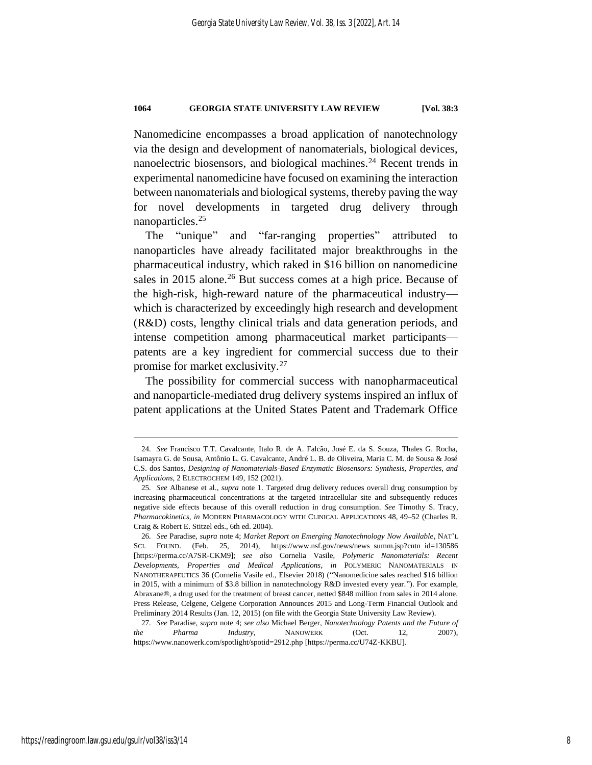Nanomedicine encompasses a broad application of nanotechnology via the design and development of nanomaterials, biological devices, nanoelectric biosensors, and biological machines.<sup>24</sup> Recent trends in experimental nanomedicine have focused on examining the interaction between nanomaterials and biological systems, thereby paving the way for novel developments in targeted drug delivery through nanoparticles.<sup>25</sup>

<span id="page-8-1"></span>The "unique" and "far-ranging properties" attributed to nanoparticles have already facilitated major breakthroughs in the pharmaceutical industry, which raked in \$16 billion on nanomedicine sales in 2015 alone.<sup>26</sup> But success comes at a high price. Because of the high-risk, high-reward nature of the pharmaceutical industry–– which is characterized by exceedingly high research and development (R&D) costs, lengthy clinical trials and data generation periods, and intense competition among pharmaceutical market participants patents are a key ingredient for commercial success due to their promise for market exclusivity.<sup>27</sup>

<span id="page-8-0"></span>The possibility for commercial success with nanopharmaceutical and nanoparticle-mediated drug delivery systems inspired an influx of patent applications at the United States Patent and Trademark Office

<sup>24</sup>*. See* Francisco T.T. Cavalcante, Italo R. de A. Falcão, José E. da S. Souza, Thales G. Rocha, Isamayra G. de Sousa, Antônio L. G. Cavalcante, André L. B. de Oliveira, Maria C. M. de Sousa & José C.S. dos Santos, *Designing of Nanomaterials-Based Enzymatic Biosensors: Synthesis, Properties, and Applications*, 2 ELECTROCHEM 149, 152 (2021).

<sup>25</sup>*. See* Albanese et al., *supra* note [1.](#page-4-0) Targeted drug delivery reduces overall drug consumption by increasing pharmaceutical concentrations at the targeted intracellular site and subsequently reduces negative side effects because of this overall reduction in drug consumption. *See* Timothy S. Tracy, *Pharmacokinetics*, *in* MODERN PHARMACOLOGY WITH CLINICAL APPLICATIONS 48, 49–52 (Charles R. Craig & Robert E. Stitzel eds., 6th ed. 2004).

<sup>26</sup>*. See* Paradise, *supra* not[e 4;](#page-4-3) *Market Report on Emerging Nanotechnology Now Available*, NAT'L SCI. FOUND. (Feb. 25, 2014), https://www.nsf.gov/news/news\_summ.jsp?cntn\_id=130586 [https://perma.cc/A7SR-CKM9]; *see also* Cornelia Vasile, *Polymeric Nanomaterials: Recent Developments, Properties and Medical Applications*, *in* POLYMERIC NANOMATERIALS IN NANOTHERAPEUTICS 36 (Cornelia Vasile ed., Elsevier 2018) ("Nanomedicine sales reached \$16 billion in 2015, with a minimum of \$3.8 billion in nanotechnology R&D invested every year."). For example, Abraxane®, a drug used for the treatment of breast cancer, netted \$848 million from sales in 2014 alone. Press Release, Celgene, Celgene Corporation Announces 2015 and Long-Term Financial Outlook and Preliminary 2014 Results (Jan. 12, 2015) (on file with the Georgia State University Law Review).

<sup>27</sup>*. See* Paradise, *supra* note [4;](#page-4-3) *see also* Michael Berger, *Nanotechnology Patents and the Future of the Pharma Industry*, NANOWERK (Oct. 12, 2007), https://www.nanowerk.com/spotlight/spotid=2912.php [https://perma.cc/U74Z-KKBU].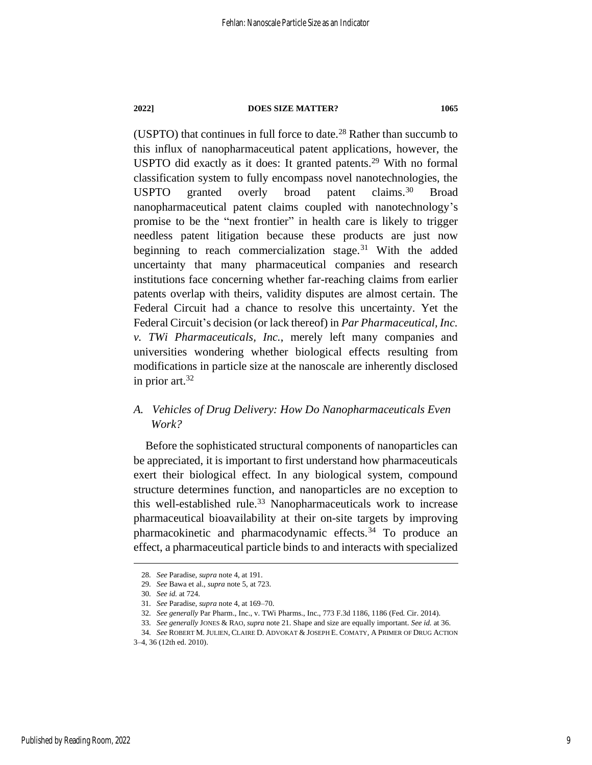(USPTO) that continues in full force to date. <sup>28</sup> Rather than succumb to this influx of nanopharmaceutical patent applications, however, the USPTO did exactly as it does: It granted patents.<sup>29</sup> With no formal classification system to fully encompass novel nanotechnologies, the USPTO granted overly broad patent claims.<sup>30</sup> Broad nanopharmaceutical patent claims coupled with nanotechnology's promise to be the "next frontier" in health care is likely to trigger needless patent litigation because these products are just now beginning to reach commercialization stage.<sup>31</sup> With the added uncertainty that many pharmaceutical companies and research institutions face concerning whether far-reaching claims from earlier patents overlap with theirs, validity disputes are almost certain. The Federal Circuit had a chance to resolve this uncertainty. Yet the Federal Circuit's decision (or lack thereof) in *Par Pharmaceutical, Inc. v. TWi Pharmaceuticals, Inc.*, merely left many companies and universities wondering whether biological effects resulting from modifications in particle size at the nanoscale are inherently disclosed in prior art.<sup>32</sup>

## *A. Vehicles of Drug Delivery: How Do Nanopharmaceuticals Even Work?*

Before the sophisticated structural components of nanoparticles can be appreciated, it is important to first understand how pharmaceuticals exert their biological effect. In any biological system, compound structure determines function, and nanoparticles are no exception to this well-established rule.<sup>33</sup> Nanopharmaceuticals work to increase pharmaceutical bioavailability at their on-site targets by improving pharmacokinetic and pharmacodynamic effects.<sup>34</sup> To produce an effect, a pharmaceutical particle binds to and interacts with specialized

<span id="page-9-0"></span><sup>28</sup>*. See* Paradise, *supra* not[e 4,](#page-4-3) at 191.

<sup>29</sup>*. See* Bawa et al., *supra* note [5,](#page-4-1) at 723.

<sup>30</sup>*. See id.* at 724.

<sup>31</sup>*. See* Paradise, *supra* not[e 4,](#page-4-3) at 169–70.

<sup>32</sup>*. See generally* Par Pharm., Inc., v. TWi Pharms., Inc., 773 F.3d 1186, 1186 (Fed. Cir. 2014).

<sup>33</sup>*. See generally* JONES & RAO, *supra* note 21. Shape and size are equally important. *See id.* at 36.

<sup>34</sup>*. See* ROBERT M.JULIEN, CLAIRE D. ADVOKAT & JOSEPH E. COMATY, A PRIMER OF DRUG ACTION

<sup>3–4, 36 (12</sup>th ed. 2010).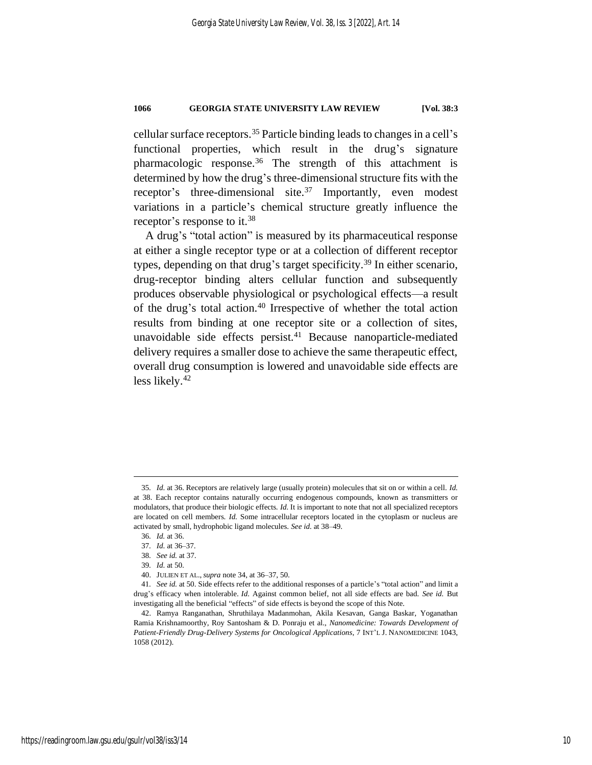cellular surface receptors.<sup>35</sup> Particle binding leads to changes in a cell's functional properties, which result in the drug's signature pharmacologic response.<sup>36</sup> The strength of this attachment is determined by how the drug's three-dimensional structure fits with the receptor's three-dimensional site.<sup>37</sup> Importantly, even modest variations in a particle's chemical structure greatly influence the receptor's response to it.<sup>38</sup>

A drug's "total action" is measured by its pharmaceutical response at either a single receptor type or at a collection of different receptor types, depending on that drug's target specificity. <sup>39</sup> In either scenario, drug-receptor binding alters cellular function and subsequently produces observable physiological or psychological effects—a result of the drug's total action.<sup>40</sup> Irrespective of whether the total action results from binding at one receptor site or a collection of sites, unavoidable side effects persist.<sup>41</sup> Because nanoparticle-mediated delivery requires a smaller dose to achieve the same therapeutic effect, overall drug consumption is lowered and unavoidable side effects are less likely. 42

<sup>35</sup>*. Id.* at 36. Receptors are relatively large (usually protein) molecules that sit on or within a cell. *Id.*  at 38. Each receptor contains naturally occurring endogenous compounds, known as transmitters or modulators, that produce their biologic effects. *Id.* It is important to note that not all specialized receptors are located on cell members. *Id.* Some intracellular receptors located in the cytoplasm or nucleus are activated by small, hydrophobic ligand molecules. *See id.* at 38–49.

<sup>36</sup>*. Id.* at 36.

<sup>37</sup>*. Id.* at 36–37.

<sup>38</sup>*. See id.* at 37.

<sup>39</sup>*. Id.* at 50.

<sup>40.</sup> JULIEN ET AL.,*supra* not[e 34,](#page-9-0) at 36–37, 50.

<sup>41</sup>*. See id.* at 50. Side effects refer to the additional responses of a particle's "total action" and limit a drug's efficacy when intolerable. *Id.* Against common belief, not all side effects are bad. *See id.* But investigating all the beneficial "effects" of side effects is beyond the scope of this Note.

<sup>42.</sup> Ramya Ranganathan, Shruthilaya Madanmohan, Akila Kesavan, Ganga Baskar, Yoganathan Ramia Krishnamoorthy, Roy Santosham & D. Ponraju et al., *Nanomedicine: Towards Development of Patient-Friendly Drug-Delivery Systems for Oncological Applications*, 7 INT'L J. NANOMEDICINE 1043, 1058 (2012).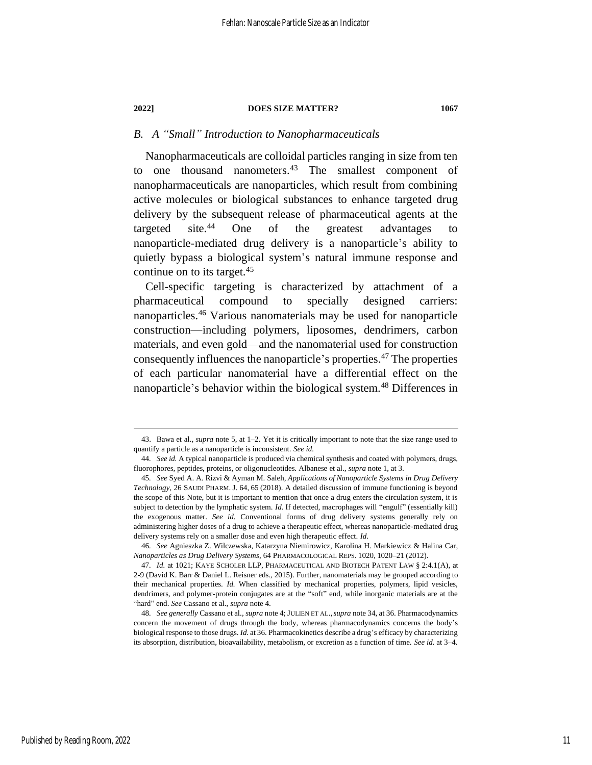### *B. A "Small" Introduction to Nanopharmaceuticals*

Nanopharmaceuticals are colloidal particles ranging in size from ten to one thousand nanometers.<sup>43</sup> The smallest component of nanopharmaceuticals are nanoparticles, which result from combining active molecules or biological substances to enhance targeted drug delivery by the subsequent release of pharmaceutical agents at the targeted site.<sup>44</sup> One of the greatest advantages to nanoparticle-mediated drug delivery is a nanoparticle's ability to quietly bypass a biological system's natural immune response and continue on to its target.<sup>45</sup>

<span id="page-11-2"></span><span id="page-11-1"></span><span id="page-11-0"></span>Cell-specific targeting is characterized by attachment of a pharmaceutical compound to specially designed carriers: nanoparticles.<sup>46</sup> Various nanomaterials may be used for nanoparticle construction—including polymers, liposomes, dendrimers, carbon materials, and even gold—and the nanomaterial used for construction consequently influences the nanoparticle's properties.<sup>47</sup> The properties of each particular nanomaterial have a differential effect on the nanoparticle's behavior within the biological system.<sup>48</sup> Differences in

<sup>43.</sup> Bawa et al., *supra* note [5,](#page-4-1) at 1–2. Yet it is critically important to note that the size range used to quantify a particle as a nanoparticle is inconsistent. *See id.*

<sup>44</sup>*. See id.* A typical nanoparticle is produced via chemical synthesis and coated with polymers, drugs, fluorophores, peptides, proteins, or oligonucleotides. Albanese et al., *supra* not[e 1,](#page-4-0) at 3.

<sup>45</sup>*. See* Syed A. A. Rizvi & Ayman M. Saleh, *Applications of Nanoparticle Systems in Drug Delivery Technology*, 26 SAUDI PHARM. J. 64, 65 (2018). A detailed discussion of immune functioning is beyond the scope of this Note, but it is important to mention that once a drug enters the circulation system, it is subject to detection by the lymphatic system. *Id.* If detected, macrophages will "engulf" (essentially kill) the exogenous matter. *See id.* Conventional forms of drug delivery systems generally rely on administering higher doses of a drug to achieve a therapeutic effect, whereas nanoparticle-mediated drug delivery systems rely on a smaller dose and even high therapeutic effect. *Id.*

<sup>46</sup>*. See* Agnieszka Z. Wilczewska, Katarzyna Niemirowicz, Karolina H. Markiewicz & Halina Car, *Nanoparticles as Drug Delivery Systems*, 64 PHARMACOLOGICAL REPS. 1020, 1020–21 (2012).

<sup>47</sup>*. Id.* at 1021; KAYE SCHOLER LLP, PHARMACEUTICAL AND BIOTECH PATENT LAW § 2:4.1(A), at 2-9 (David K. Barr & Daniel L. Reisner eds., 2015). Further, nanomaterials may be grouped according to their mechanical properties. *Id.* When classified by mechanical properties, polymers, lipid vesicles, dendrimers, and polymer-protein conjugates are at the "soft" end, while inorganic materials are at the "hard" end. *See* Cassano et al., *supra* not[e 4.](#page-4-3)

<sup>48</sup>*. See generally* Cassano et al., *supra* not[e 4;](#page-4-3) JULIEN ET AL.,*supra* not[e 34,](#page-9-0) at 36. Pharmacodynamics concern the movement of drugs through the body, whereas pharmacodynamics concerns the body's biological response to those drugs. *Id.* at 36. Pharmacokinetics describe a drug's efficacy by characterizing its absorption, distribution, bioavailability, metabolism, or excretion as a function of time. *See id.* at 3–4.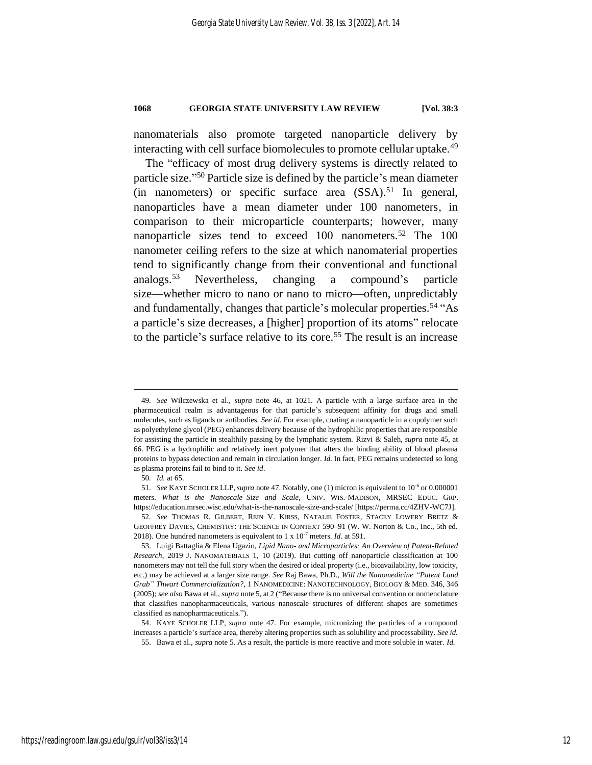nanomaterials also promote targeted nanoparticle delivery by interacting with cell surface biomolecules to promote cellular uptake.<sup>49</sup>

<span id="page-12-0"></span>The "efficacy of most drug delivery systems is directly related to particle size." <sup>50</sup> Particle size is defined by the particle's mean diameter (in nanometers) or specific surface area  $(SSA)$ <sup>51</sup> In general, nanoparticles have a mean diameter under 100 nanometers, in comparison to their microparticle counterparts; however, many nanoparticle sizes tend to exceed 100 nanometers.<sup>52</sup> The 100 nanometer ceiling refers to the size at which nanomaterial properties tend to significantly change from their conventional and functional analogs.<sup>53</sup> Nevertheless, changing a compound's particle size—whether micro to nano or nano to micro—often, unpredictably and fundamentally, changes that particle's molecular properties.<sup>54</sup> "As a particle's size decreases, a [higher] proportion of its atoms" relocate to the particle's surface relative to its core.<sup>55</sup> The result is an increase

<sup>49</sup>*. See* Wilczewska et al., *supra* note [46,](#page-11-0) at 1021. A particle with a large surface area in the pharmaceutical realm is advantageous for that particle's subsequent affinity for drugs and small molecules, such as ligands or antibodies. *See id.* For example, coating a nanoparticle in a copolymer such as polyethylene glycol (PEG) enhances delivery because of the hydrophilic properties that are responsible for assisting the particle in stealthily passing by the lymphatic system. Rizvi & Saleh, *supra* not[e 45,](#page-11-1) at 66. PEG is a hydrophilic and relatively inert polymer that alters the binding ability of blood plasma proteins to bypass detection and remain in circulation longer. *Id.* In fact, PEG remains undetected so long as plasma proteins fail to bind to it. *See id*.

<sup>50</sup>*. Id.* at 65.

<sup>51</sup>*. See* KAYE SCHOLER LLP,*supra* not[e 47.](#page-11-2) Notably, one (1) micron is equivalent to 10-6 or 0.000001 meters. *What is the Nanoscale–Size and Scale*, UNIV. WIS.-MADISON, MRSEC EDUC. GRP. https://education.mrsec.wisc.edu/what-is-the-nanoscale-size-and-scale/ [https://perma.cc/4ZHV-WC7J].

<sup>52</sup>*. See* THOMAS R. GILBERT, REIN V. KIRSS, NATALIE FOSTER, STACEY LOWERY BRETZ & GEOFFREY DAVIES, CHEMISTRY: THE SCIENCE IN CONTEXT 590–91 (W. W. Norton & Co., Inc., 5th ed. 2018). One hundred nanometers is equivalent to  $1 \times 10^{-7}$  meters. *Id.* at 591.

<sup>53.</sup> Luigi Battaglia & Elena Ugazio, *Lipid Nano- and Microparticles: An Overview of Patent-Related Research*, 2019 J. NANOMATERIALS 1, 10 (2019). But cutting off nanoparticle classification at 100 nanometers may not tell the full story when the desired or ideal property (i.e., bioavailability, low toxicity, etc.) may be achieved at a larger size range. *See* Raj Bawa, Ph.D., *Will the Nanomedicine "Patent Land Grab" Thwart Commercialization?*, 1 NANOMEDICINE: NANOTECHNOLOGY, BIOLOGY & MED. 346, 346 (2005); *see also* Bawa et al., *supra* not[e 5,](#page-4-1) at 2 ("Because there is no universal convention or nomenclature that classifies nanopharmaceuticals, various nanoscale structures of different shapes are sometimes classified as nanopharmaceuticals.").

<sup>54.</sup> KAYE SCHOLER LLP, *supra* note [47.](#page-11-2) For example, micronizing the particles of a compound increases a particle's surface area, thereby altering properties such as solubility and processability. *See id.* 55. Bawa et al., *supra* note [5.](#page-4-1) As a result, the particle is more reactive and more soluble in water. *Id.*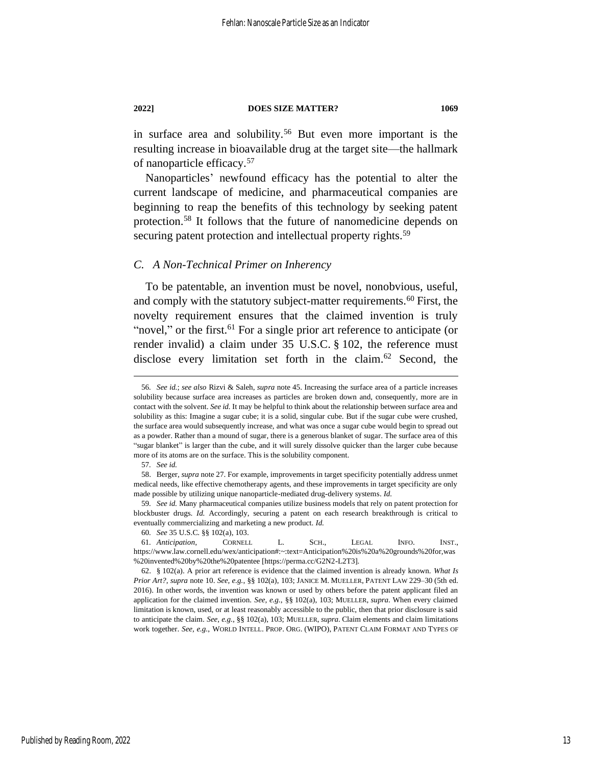in surface area and solubility.<sup>56</sup> But even more important is the resulting increase in bioavailable drug at the target site—the hallmark of nanoparticle efficacy.<sup>57</sup>

Nanoparticles' newfound efficacy has the potential to alter the current landscape of medicine, and pharmaceutical companies are beginning to reap the benefits of this technology by seeking patent protection.<sup>58</sup> It follows that the future of nanomedicine depends on securing patent protection and intellectual property rights.<sup>59</sup>

#### *C. A Non-Technical Primer on Inherency*

To be patentable, an invention must be novel, nonobvious, useful, and comply with the statutory subject-matter requirements.<sup>60</sup> First, the novelty requirement ensures that the claimed invention is truly "novel," or the first.<sup>61</sup> For a single prior art reference to anticipate (or render invalid) a claim under 35 U.S.C. § 102, the reference must disclose every limitation set forth in the claim.<sup>62</sup> Second, the

<span id="page-13-0"></span><sup>56</sup>*. See id.*; *see also* Rizvi & Saleh, *supra* not[e 45.](#page-11-1) Increasing the surface area of a particle increases solubility because surface area increases as particles are broken down and, consequently, more are in contact with the solvent. *See id.* It may be helpful to think about the relationship between surface area and solubility as this: Imagine a sugar cube; it is a solid, singular cube. But if the sugar cube were crushed, the surface area would subsequently increase, and what was once a sugar cube would begin to spread out as a powder. Rather than a mound of sugar, there is a generous blanket of sugar. The surface area of this "sugar blanket" is larger than the cube, and it will surely dissolve quicker than the larger cube because more of its atoms are on the surface. This is the solubility component.

<sup>57</sup>*. See id.*

<sup>58.</sup> Berger, *supra* note [27.](#page-8-0) For example, improvements in target specificity potentially address unmet medical needs, like effective chemotherapy agents, and these improvements in target specificity are only made possible by utilizing unique nanoparticle-mediated drug-delivery systems. *Id.*

<sup>59</sup>*. See id.* Many pharmaceutical companies utilize business models that rely on patent protection for blockbuster drugs. *Id.* Accordingly, securing a patent on each research breakthrough is critical to eventually commercializing and marketing a new product. *Id.*

<sup>60</sup>*. See* 35 U.S.C. §§ 102(a), 103.

<sup>61</sup>*. Anticipation*, CORNELL L. SCH., LEGAL INFO. INST., https://www.law.cornell.edu/wex/anticipation#:~:text=Anticipation%20is%20a%20grounds%20for,was %20invented%20by%20the%20patentee [https://perma.cc/G2N2-L2T3].

<sup>62.</sup> § 102(a). A prior art reference is evidence that the claimed invention is already known. *What Is Prior Art?*, *supra* not[e 10.](#page-5-0) *See, e.g.*, §§ 102(a), 103; JANICE M. MUELLER, PATENT LAW 229–30 (5th ed. 2016). In other words, the invention was known or used by others before the patent applicant filed an application for the claimed invention. *See, e.g.*, §§ 102(a), 103; MUELLER, *supra*. When every claimed limitation is known, used, or at least reasonably accessible to the public, then that prior disclosure is said to anticipate the claim. *See, e.g.*, §§ 102(a), 103; MUELLER, *supra*. Claim elements and claim limitations work together. *See, e.g.*, WORLD INTELL. PROP. ORG. (WIPO), PATENT CLAIM FORMAT AND TYPES OF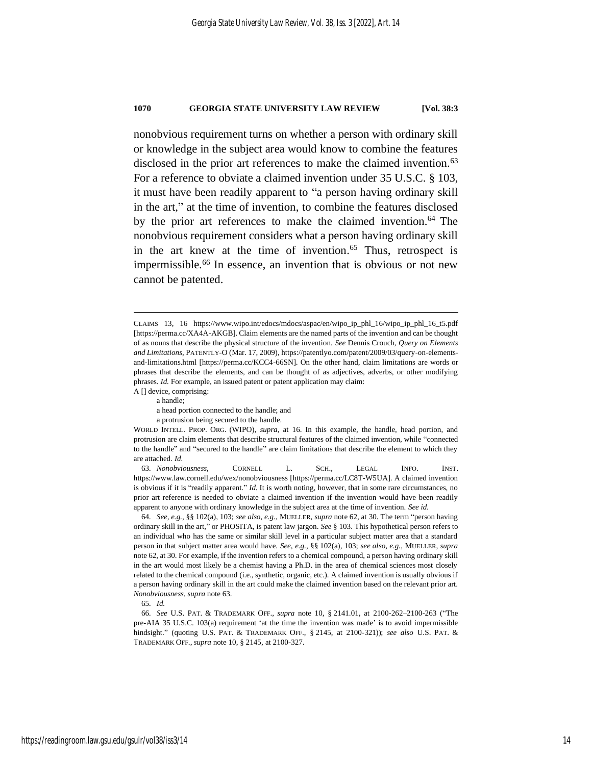<span id="page-14-0"></span>nonobvious requirement turns on whether a person with ordinary skill or knowledge in the subject area would know to combine the features disclosed in the prior art references to make the claimed invention.<sup>63</sup> For a reference to obviate a claimed invention under 35 U.S.C. § 103, it must have been readily apparent to "a person having ordinary skill in the art," at the time of invention, to combine the features disclosed by the prior art references to make the claimed invention. <sup>64</sup> The nonobvious requirement considers what a person having ordinary skill in the art knew at the time of invention. <sup>65</sup> Thus, retrospect is impermissible.<sup>66</sup> In essence, an invention that is obvious or not new cannot be patented.

64*. See, e.g.*, §§ 102(a), 103; *see also, e.g.*, MUELLER, *supra* not[e 62,](#page-13-0) at 30. The term "person having ordinary skill in the art," or PHOSITA, is patent law jargon. *See* § 103. This hypothetical person refers to an individual who has the same or similar skill level in a particular subject matter area that a standard person in that subject matter area would have. *See, e.g.*, §§ 102(a), 103; *see also, e.g.*, MUELLER, *supra*  not[e 62,](#page-13-0) at 30. For example, if the invention refers to a chemical compound, a person having ordinary skill in the art would most likely be a chemist having a Ph.D. in the area of chemical sciences most closely related to the chemical compound (i.e., synthetic, organic, etc.). A claimed invention is usually obvious if a person having ordinary skill in the art could make the claimed invention based on the relevant prior art. *Nonobviousness*, *supra* not[e 63.](#page-14-0)

CLAIMS 13, 16 https://www.wipo.int/edocs/mdocs/aspac/en/wipo\_ip\_phl\_16/wipo\_ip\_phl\_16\_t5.pdf [https://perma.cc/XA4A-AKGB]. Claim elements are the named parts of the invention and can be thought of as nouns that describe the physical structure of the invention. *See* Dennis Crouch, *Query on Elements and Limitations*, PATENTLY-O (Mar. 17, 2009), https://patentlyo.com/patent/2009/03/query-on-elementsand-limitations.html [https://perma.cc/KCC4-66SN]. On the other hand, claim limitations are words or phrases that describe the elements, and can be thought of as adjectives, adverbs, or other modifying phrases. *Id.* For example, an issued patent or patent application may claim: A [] device, comprising:

a handle;

a head portion connected to the handle; and

a protrusion being secured to the handle.

WORLD INTELL. PROP. ORG. (WIPO), *supra*, at [16.](#page-6-0) In this example, the handle, head portion, and protrusion are claim elements that describe structural features of the claimed invention, while "connected to the handle" and "secured to the handle" are claim limitations that describe the element to which they are attached. *Id.*

<sup>63</sup>*. Nonobviousness*, CORNELL L. SCH., LEGAL INFO. INST. https://www.law.cornell.edu/wex/nonobviousness [https://perma.cc/LC8T-W5UA]. A claimed invention is obvious if it is "readily apparent." *Id.* It is worth noting, however, that in some rare circumstances, no prior art reference is needed to obviate a claimed invention if the invention would have been readily apparent to anyone with ordinary knowledge in the subject area at the time of invention. *See id.*

<sup>65</sup>*. Id.*

<sup>66</sup>*. See* U.S. PAT. & TRADEMARK OFF., *supra* note [10,](#page-5-0) § 2141.01, at 2100-262–2100-263 ("The pre-AIA 35 U.S.C. 103(a) requirement 'at the time the invention was made' is to avoid impermissible hindsight." (quoting U.S. PAT. & TRADEMARK OFF., § 2145, at 2100-321)); *see also* U.S. PAT. & TRADEMARK OFF., *supra* not[e 10,](#page-5-0) § 2145, at 2100-327.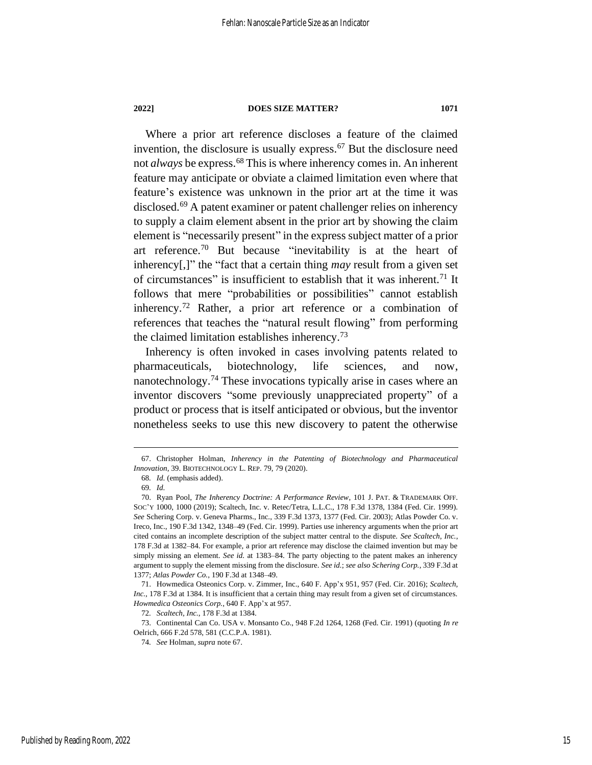<span id="page-15-0"></span>

Where a prior art reference discloses a feature of the claimed invention, the disclosure is usually express. <sup>67</sup> But the disclosure need not *always* be express.<sup>68</sup> This is where inherency comes in. An inherent feature may anticipate or obviate a claimed limitation even where that feature's existence was unknown in the prior art at the time it was disclosed.<sup>69</sup> A patent examiner or patent challenger relies on inherency to supply a claim element absent in the prior art by showing the claim element is "necessarily present" in the express subject matter of a prior art reference.<sup>70</sup> But because "inevitability is at the heart of inherency[,]" the "fact that a certain thing *may* result from a given set of circumstances" is insufficient to establish that it was inherent.<sup>71</sup> It follows that mere "probabilities or possibilities" cannot establish inherency.<sup>72</sup> Rather, a prior art reference or a combination of references that teaches the "natural result flowing" from performing the claimed limitation establishes inherency.<sup>73</sup>

Inherency is often invoked in cases involving patents related to pharmaceuticals, biotechnology, life sciences, and now, nanotechnology.<sup>74</sup> These invocations typically arise in cases where an inventor discovers "some previously unappreciated property" of a product or process that is itself anticipated or obvious, but the inventor nonetheless seeks to use this new discovery to patent the otherwise

<sup>67.</sup> Christopher Holman, *Inherency in the Patenting of Biotechnology and Pharmaceutical Innovation*, 39. BIOTECHNOLOGY L. REP. 79, 79 (2020).

<sup>68</sup>*. Id.* (emphasis added).

<sup>69</sup>*. Id.*

<sup>70.</sup> Ryan Pool, *The Inherency Doctrine: A Performance Review*, 101 J. PAT. & TRADEMARK OFF. SOC'Y 1000, 1000 (2019); Scaltech, Inc. v. Retec/Tetra, L.L.C., 178 F.3d 1378, 1384 (Fed. Cir. 1999). *See* Schering Corp. v. Geneva Pharms., Inc., 339 F.3d 1373, 1377 (Fed. Cir. 2003); Atlas Powder Co. v. Ireco, Inc., 190 F.3d 1342, 1348–49 (Fed. Cir. 1999). Parties use inherency arguments when the prior art cited contains an incomplete description of the subject matter central to the dispute. *See Scaltech, Inc.*, 178 F.3d at 1382–84. For example, a prior art reference may disclose the claimed invention but may be simply missing an element. *See id.* at 1383–84. The party objecting to the patent makes an inherency argument to supply the element missing from the disclosure. *See id.*; *see also Schering Corp.*, 339 F.3d at 1377; *Atlas Powder Co.*, 190 F.3d at 1348–49.

<sup>71.</sup> Howmedica Osteonics Corp. v. Zimmer, Inc., 640 F. App'x 951, 957 (Fed. Cir. 2016); *Scaltech, Inc.*, 178 F.3d at 1384. It is insufficient that a certain thing may result from a given set of circumstances. *Howmedica Osteonics Corp.*, 640 F. App'x at 957.

<sup>72</sup>*. Scaltech, Inc.*, 178 F.3d at 1384.

<sup>73.</sup> Continental Can Co. USA v. Monsanto Co., 948 F.2d 1264, 1268 (Fed. Cir. 1991) (quoting *In re* Oelrich, 666 F.2d 578, 581 (C.C.P.A. 1981).

<sup>74</sup>*. See* Holman, *supra* note [67.](#page-15-0)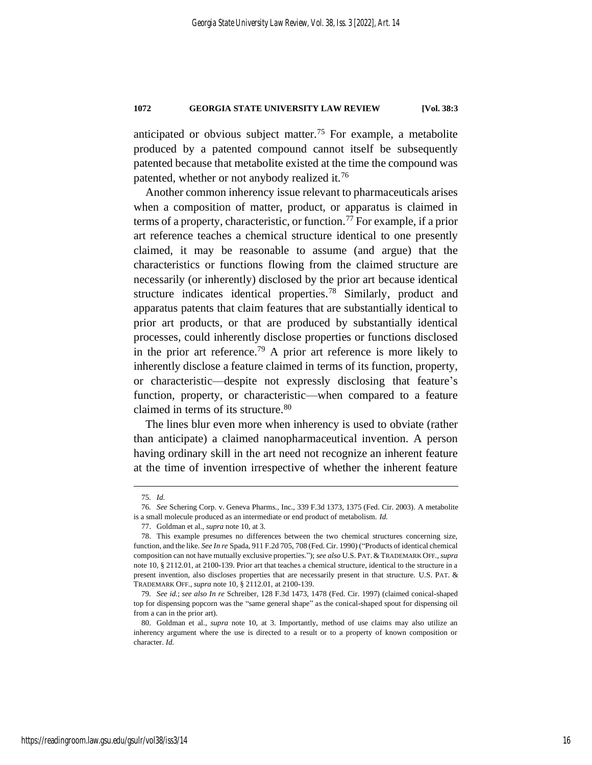anticipated or obvious subject matter.<sup>75</sup> For example, a metabolite produced by a patented compound cannot itself be subsequently patented because that metabolite existed at the time the compound was patented, whether or not anybody realized it.<sup>76</sup>

Another common inherency issue relevant to pharmaceuticals arises when a composition of matter, product, or apparatus is claimed in terms of a property, characteristic, or function.<sup>77</sup> For example, if a prior art reference teaches a chemical structure identical to one presently claimed, it may be reasonable to assume (and argue) that the characteristics or functions flowing from the claimed structure are necessarily (or inherently) disclosed by the prior art because identical structure indicates identical properties.<sup>78</sup> Similarly, product and apparatus patents that claim features that are substantially identical to prior art products, or that are produced by substantially identical processes, could inherently disclose properties or functions disclosed in the prior art reference.<sup>79</sup> A prior art reference is more likely to inherently disclose a feature claimed in terms of its function, property, or characteristic––despite not expressly disclosing that feature's function, property, or characteristic—when compared to a feature claimed in terms of its structure. 80

The lines blur even more when inherency is used to obviate (rather than anticipate) a claimed nanopharmaceutical invention. A person having ordinary skill in the art need not recognize an inherent feature at the time of invention irrespective of whether the inherent feature

<sup>75</sup>*. Id.*

<sup>76</sup>*. See* Schering Corp. v. Geneva Pharms., Inc., 339 F.3d 1373, 1375 (Fed. Cir. 2003). A metabolite is a small molecule produced as an intermediate or end product of metabolism. *Id.*

<sup>77.</sup> Goldman et al., *supra* not[e 10,](#page-5-0) at 3.

<sup>78.</sup> This example presumes no differences between the two chemical structures concerning size, function, and the like. *See In re* Spada, 911 F.2d 705, 708 (Fed. Cir. 1990) ("Products of identical chemical composition can not have mutually exclusive properties."); *see also* U.S. PAT. & TRADEMARK OFF.,*supra* not[e 10,](#page-5-0) § 2112.01, at 2100-139. Prior art that teaches a chemical structure, identical to the structure in a present invention, also discloses properties that are necessarily present in that structure. U.S. PAT. & TRADEMARK OFF., *supra* not[e 10,](#page-5-0) § 2112.01, at 2100-139.

<sup>79</sup>*. See id.*; *see also In re* Schreiber, 128 F.3d 1473, 1478 (Fed. Cir. 1997) (claimed conical-shaped top for dispensing popcorn was the "same general shape" as the conical-shaped spout for dispensing oil from a can in the prior art).

<sup>80.</sup> Goldman et al., *supra* note [10,](#page-5-0) at 3. Importantly, method of use claims may also utilize an inherency argument where the use is directed to a result or to a property of known composition or character. *Id.*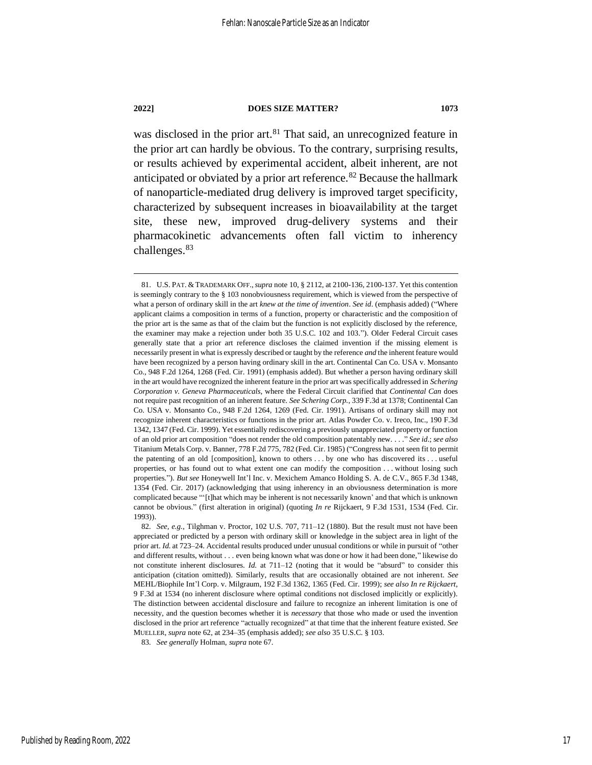was disclosed in the prior art. <sup>81</sup> That said, an unrecognized feature in the prior art can hardly be obvious. To the contrary, surprising results, or results achieved by experimental accident, albeit inherent, are not anticipated or obviated by a prior art reference.<sup>82</sup> Because the hallmark of nanoparticle-mediated drug delivery is improved target specificity, characterized by subsequent increases in bioavailability at the target site, these new, improved drug-delivery systems and their pharmacokinetic advancements often fall victim to inherency challenges.<sup>83</sup>

83*. See generally* Holman, *supra* note [67.](#page-15-0)

<sup>81.</sup> U.S. PAT. & TRADEMARK OFF.,*supra* not[e 10,](#page-5-0) § 2112, at 2100-136, 2100-137. Yet this contention is seemingly contrary to the § 103 nonobviousness requirement, which is viewed from the perspective of what a person of ordinary skill in the art *knew at the time of invention*. *See id*. (emphasis added) ("Where applicant claims a composition in terms of a function, property or characteristic and the composition of the prior art is the same as that of the claim but the function is not explicitly disclosed by the reference, the examiner may make a rejection under both 35 U.S.C. 102 and 103."). Older Federal Circuit cases generally state that a prior art reference discloses the claimed invention if the missing element is necessarily present in what is expressly described or taught by the reference *and* the inherent feature would have been recognized by a person having ordinary skill in the art. Continental Can Co. USA v. Monsanto Co., 948 F.2d 1264, 1268 (Fed. Cir. 1991) (emphasis added). But whether a person having ordinary skill in the art would have recognized the inherent feature in the prior art was specifically addressed in *Schering Corporation v. Geneva Pharmaceuticals*, where the Federal Circuit clarified that *Continental Can* does not require past recognition of an inherent feature. *See Schering Corp.*, 339 F.3d at 1378; Continental Can Co. USA v. Monsanto Co., 948 F.2d 1264, 1269 (Fed. Cir. 1991). Artisans of ordinary skill may not recognize inherent characteristics or functions in the prior art. Atlas Powder Co. v. Ireco, Inc., 190 F.3d 1342, 1347 (Fed. Cir. 1999). Yet essentially rediscovering a previously unappreciated property or function of an old prior art composition "does not render the old composition patentably new. . . ." *See id*.; *see also*  Titanium Metals Corp. v. Banner, 778 F.2d 775, 782 (Fed. Cir. 1985) ("Congress has not seen fit to permit the patenting of an old [composition], known to others . . . by one who has discovered its . . . useful properties, or has found out to what extent one can modify the composition . . . without losing such properties."). *But see* Honeywell Int'l Inc. v. Mexichem Amanco Holding S. A. de C.V., 865 F.3d 1348, 1354 (Fed. Cir. 2017) (acknowledging that using inherency in an obviousness determination is more complicated because "'[t]hat which may be inherent is not necessarily known' and that which is unknown cannot be obvious." (first alteration in original) (quoting *In re* Rijckaert, 9 F.3d 1531, 1534 (Fed. Cir. 1993)).

<sup>82</sup>*. See, e.g.*, Tilghman v. Proctor, 102 U.S. 707, 711–12 (1880). But the result must not have been appreciated or predicted by a person with ordinary skill or knowledge in the subject area in light of the prior art. *Id.* at 723–24. Accidental results produced under unusual conditions or while in pursuit of "other and different results, without . . . even being known what was done or how it had been done," likewise do not constitute inherent disclosures. *Id.* at 711–12 (noting that it would be "absurd" to consider this anticipation (citation omitted)). Similarly, results that are occasionally obtained are not inherent. *See*  MEHL/Biophile Int'l Corp. v. Milgraum, 192 F.3d 1362, 1365 (Fed. Cir. 1999); *see also In re Rijckaert*, 9 F.3d at 1534 (no inherent disclosure where optimal conditions not disclosed implicitly or explicitly). The distinction between accidental disclosure and failure to recognize an inherent limitation is one of necessity, and the question becomes whether it is *necessary* that those who made or used the invention disclosed in the prior art reference "actually recognized" at that time that the inherent feature existed. *See*  MUELLER, *supra* not[e 62,](#page-13-0) at 234–35 (emphasis added); *see also* 35 U.S.C. § 103.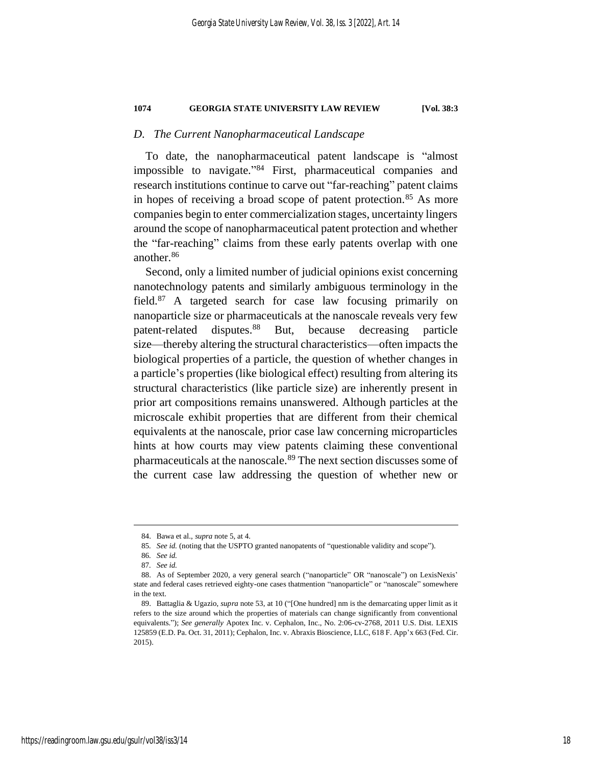#### *D. The Current Nanopharmaceutical Landscape*

To date, the nanopharmaceutical patent landscape is "almost impossible to navigate." <sup>84</sup> First, pharmaceutical companies and research institutions continue to carve out "far-reaching" patent claims in hopes of receiving a broad scope of patent protection.<sup>85</sup> As more companies begin to enter commercialization stages, uncertainty lingers around the scope of nanopharmaceutical patent protection and whether the "far-reaching" claims from these early patents overlap with one another.<sup>86</sup>

Second, only a limited number of judicial opinions exist concerning nanotechnology patents and similarly ambiguous terminology in the field.<sup>87</sup> A targeted search for case law focusing primarily on nanoparticle size or pharmaceuticals at the nanoscale reveals very few patent-related disputes.<sup>88</sup> But, because decreasing particle size—thereby altering the structural characteristics––often impacts the biological properties of a particle, the question of whether changes in a particle's properties (like biological effect) resulting from altering its structural characteristics (like particle size) are inherently present in prior art compositions remains unanswered. Although particles at the microscale exhibit properties that are different from their chemical equivalents at the nanoscale, prior case law concerning microparticles hints at how courts may view patents claiming these conventional pharmaceuticals at the nanoscale.<sup>89</sup> The next section discusses some of the current case law addressing the question of whether new or

<sup>84.</sup> Bawa et al., *supra* note [5,](#page-4-1) at 4.

<sup>85</sup>*. See id.* (noting that the USPTO granted nanopatents of "questionable validity and scope").

<sup>86</sup>*. See id.*

<sup>87</sup>*. See id.*

<sup>88.</sup> As of September 2020, a very general search ("nanoparticle" OR "nanoscale") on LexisNexis' state and federal cases retrieved eighty-one cases thatmention "nanoparticle" or "nanoscale" somewhere in the text.

<sup>89.</sup> Battaglia & Ugazio, *supra* not[e 53,](#page-12-0) at 10 ("[One hundred] nm is the demarcating upper limit as it refers to the size around which the properties of materials can change significantly from conventional equivalents."); *See generally* Apotex Inc. v. Cephalon, Inc., No. 2:06-cv-2768, 2011 U.S. Dist. LEXIS 125859 (E.D. Pa. Oct. 31, 2011); Cephalon, Inc. v. Abraxis Bioscience, LLC, 618 F. App'x 663 (Fed. Cir. 2015).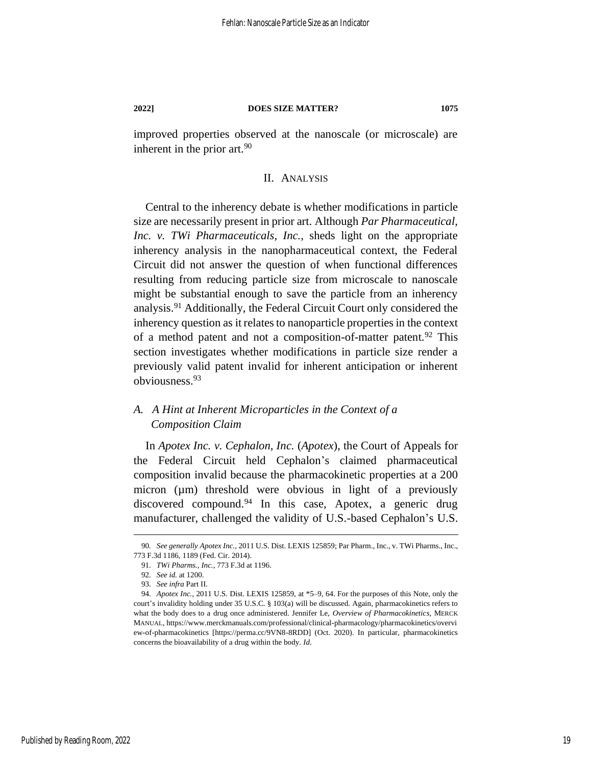improved properties observed at the nanoscale (or microscale) are inherent in the prior art.<sup>90</sup>

### II. ANALYSIS

Central to the inherency debate is whether modifications in particle size are necessarily present in prior art. Although *Par Pharmaceutical, Inc. v. TWi Pharmaceuticals, Inc.*, sheds light on the appropriate inherency analysis in the nanopharmaceutical context, the Federal Circuit did not answer the question of when functional differences resulting from reducing particle size from microscale to nanoscale might be substantial enough to save the particle from an inherency analysis.<sup>91</sup> Additionally, the Federal Circuit Court only considered the inherency question as it relates to nanoparticle properties in the context of a method patent and not a composition-of-matter patent.<sup>92</sup> This section investigates whether modifications in particle size render a previously valid patent invalid for inherent anticipation or inherent obviousness.<sup>93</sup>

## *A. A Hint at Inherent Microparticles in the Context of a Composition Claim*

In *Apotex Inc. v. Cephalon, Inc.* (*Apotex*), the Court of Appeals for the Federal Circuit held Cephalon's claimed pharmaceutical composition invalid because the pharmacokinetic properties at a 200 micron (µm) threshold were obvious in light of a previously discovered compound.<sup>94</sup> In this case, Apotex, a generic drug manufacturer, challenged the validity of U.S.-based Cephalon's U.S.

<sup>90</sup>*. See generally Apotex Inc.*, 2011 U.S. Dist. LEXIS 125859; Par Pharm., Inc., v. TWi Pharms., Inc., 773 F.3d 1186, 1189 (Fed. Cir. 2014).

<sup>91</sup>*. TWi Pharms., Inc.*, 773 F.3d at 1196.

<sup>92</sup>*. See id.* at 1200.

<sup>93</sup>*. See infra* Part II.

<sup>94</sup>*. Apotex Inc.*, 2011 U.S. Dist. LEXIS 125859, at \*5–9, 64. For the purposes of this Note, only the court's invalidity holding under 35 U.S.C. § 103(a) will be discussed. Again, pharmacokinetics refers to what the body does to a drug once administered. Jennifer Le, *Overview of Pharmacokinetics*, MERCK MANUAL, https://www.merckmanuals.com/professional/clinical-pharmacology/pharmacokinetics/overvi ew-of-pharmacokinetics [https://perma.cc/9VN8-8RDD] (Oct. 2020). In particular, pharmacokinetics concerns the bioavailability of a drug within the body. *Id.*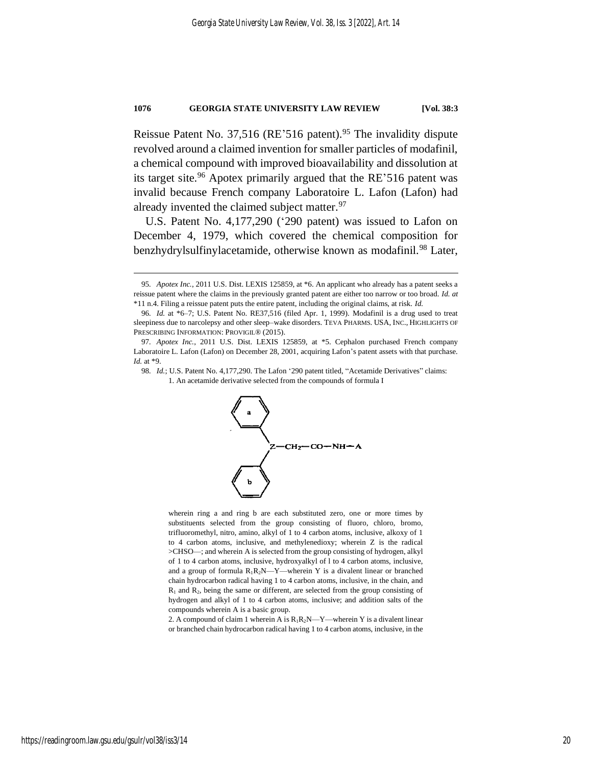Reissue Patent No. 37,516 (RE'516 patent).<sup>95</sup> The invalidity dispute revolved around a claimed invention for smaller particles of modafinil, a chemical compound with improved bioavailability and dissolution at its target site.<sup>96</sup> Apotex primarily argued that the RE'516 patent was invalid because French company Laboratoire L. Lafon (Lafon) had already invented the claimed subject matter.<sup>97</sup>

U.S. Patent No. 4,177,290 ('290 patent) was issued to Lafon on December 4, 1979, which covered the chemical composition for benzhydrylsulfinylacetamide, otherwise known as modafinil.<sup>98</sup> Later,

98*. Id.*; U.S. Patent No. 4,177,290. The Lafon '290 patent titled, "Acetamide Derivatives" claims: 1. An acetamide derivative selected from the compounds of formula I



wherein ring a and ring b are each substituted zero, one or more times by substituents selected from the group consisting of fluoro, chloro, bromo, trifluoromethyl, nitro, amino, alkyl of 1 to 4 carbon atoms, inclusive, alkoxy of 1 to 4 carbon atoms, inclusive, and methylenedioxy; wherein Z is the radical >CHSO—; and wherein A is selected from the group consisting of hydrogen, alkyl of 1 to 4 carbon atoms, inclusive, hydroxyalkyl of l to 4 carbon atoms, inclusive, and a group of formula  $R_1R_2N-Y$ —wherein Y is a divalent linear or branched chain hydrocarbon radical having 1 to 4 carbon atoms, inclusive, in the chain, and  $R_1$  and  $R_2$ , being the same or different, are selected from the group consisting of hydrogen and alkyl of 1 to 4 carbon atoms, inclusive; and addition salts of the compounds wherein A is a basic group.

2. A compound of claim 1 wherein A is  $R_1R_2N$ —Y—wherein Y is a divalent linear or branched chain hydrocarbon radical having 1 to 4 carbon atoms, inclusive, in the

<sup>95</sup>*. Apotex Inc.*, 2011 U.S. Dist. LEXIS 125859, at \*6. An applicant who already has a patent seeks a reissue patent where the claims in the previously granted patent are either too narrow or too broad. *Id. at*  \*11 n.4. Filing a reissue patent puts the entire patent, including the original claims, at risk. *Id.*

<sup>96</sup>*. Id.* at \*6–7; U.S. Patent No. RE37,516 (filed Apr. 1, 1999). Modafinil is a drug used to treat sleepiness due to narcolepsy and other sleep–wake disorders. TEVA PHARMS. USA, INC., HIGHLIGHTS OF PRESCRIBING INFORMATION: PROVIGIL® (2015).

<sup>97</sup>*. Apotex Inc.*, 2011 U.S. Dist. LEXIS 125859, at \*5. Cephalon purchased French company Laboratoire L. Lafon (Lafon) on December 28, 2001, acquiring Lafon's patent assets with that purchase. *Id.* at \*9.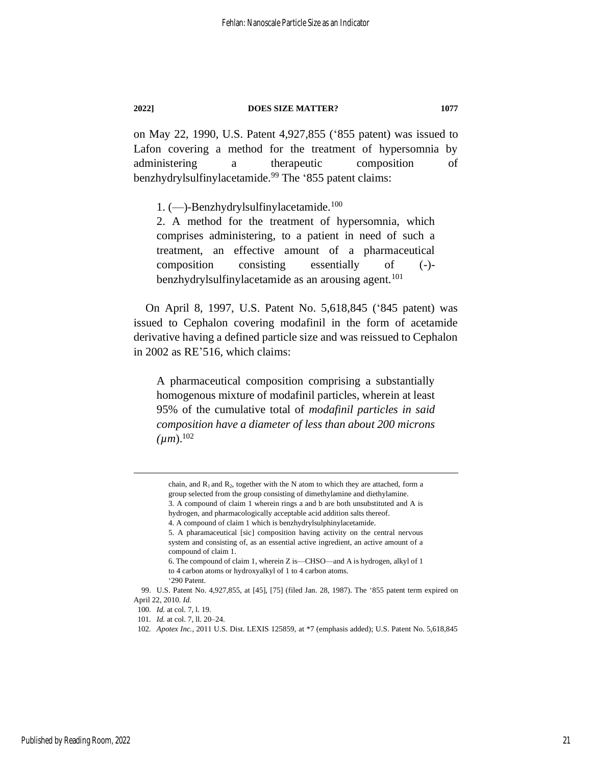on May 22, 1990, U.S. Patent 4,927,855 ('855 patent) was issued to Lafon covering a method for the treatment of hypersomnia by administering a therapeutic composition of benzhydrylsulfinylacetamide.<sup>99</sup> The '855 patent claims:

1. (—)-Benzhydrylsulfinylacetamide.<sup>100</sup>

2. A method for the treatment of hypersomnia, which comprises administering, to a patient in need of such a treatment, an effective amount of a pharmaceutical composition consisting essentially of (-) benzhydrylsulfinylacetamide as an arousing agent.<sup>101</sup>

On April 8, 1997, U.S. Patent No. 5,618,845 ('845 patent) was issued to Cephalon covering modafinil in the form of acetamide derivative having a defined particle size and was reissued to Cephalon in 2002 as RE'516, which claims:

A pharmaceutical composition comprising a substantially homogenous mixture of modafinil particles, wherein at least 95% of the cumulative total of *modafinil particles in said composition have a diameter of less than about 200 microns*   $(\mu m)$ <sup>102</sup>

chain, and  $R_1$  and  $R_2$ , together with the N atom to which they are attached, form a group selected from the group consisting of dimethylamine and diethylamine. 3. A compound of claim 1 wherein rings a and b are both unsubstituted and A is hydrogen, and pharmacologically acceptable acid addition salts thereof. 4. A compound of claim 1 which is benzhydrylsulphinylacetamide.

<sup>5.</sup> A pharamaceutical [sic] composition having activity on the central nervous system and consisting of, as an essential active ingredient, an active amount of a compound of claim 1.

<sup>6.</sup> The compound of claim 1, wherein Z is—CHSO—and A is hydrogen, alkyl of 1 to 4 carbon atoms or hydroxyalkyl of 1 to 4 carbon atoms.

<sup>&#</sup>x27;290 Patent.

<sup>99.</sup> U.S. Patent No. 4,927,855, at [45], [75] (filed Jan. 28, 1987). The '855 patent term expired on April 22, 2010. *Id.*

<sup>100</sup>*. Id.* at col. 7, l. 19.

<sup>101</sup>*. Id.* at col. 7, ll. 20–24.

<sup>102</sup>*. Apotex Inc.*, 2011 U.S. Dist. LEXIS 125859, at \*7 (emphasis added); U.S. Patent No. 5,618,845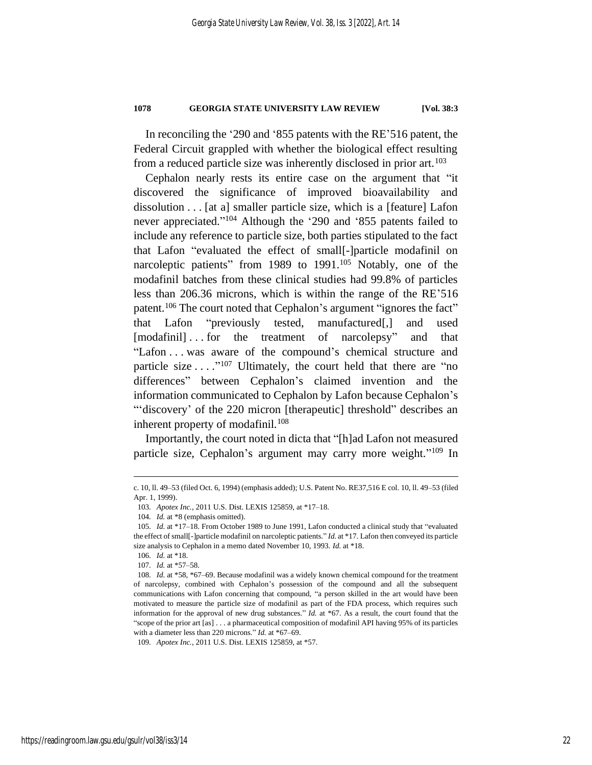In reconciling the '290 and '855 patents with the RE'516 patent, the Federal Circuit grappled with whether the biological effect resulting from a reduced particle size was inherently disclosed in prior art.<sup>103</sup>

Cephalon nearly rests its entire case on the argument that "it discovered the significance of improved bioavailability and dissolution . . . [at a] smaller particle size, which is a [feature] Lafon never appreciated." <sup>104</sup> Although the '290 and '855 patents failed to include any reference to particle size, both parties stipulated to the fact that Lafon "evaluated the effect of small[-]particle modafinil on narcoleptic patients" from 1989 to 1991.<sup>105</sup> Notably, one of the modafinil batches from these clinical studies had 99.8% of particles less than 206.36 microns, which is within the range of the RE'516 patent.<sup>106</sup> The court noted that Cephalon's argument "ignores the fact" that Lafon "previously tested, manufactured[,] and used [modafinil] . . . for the treatment of narcolepsy" and that "Lafon . . . was aware of the compound's chemical structure and particle size  $\dots$ <sup>107</sup> Ultimately, the court held that there are "no differences" between Cephalon's claimed invention and the information communicated to Cephalon by Lafon because Cephalon's ""discovery' of the 220 micron [therapeutic] threshold" describes an inherent property of modafinil.<sup>108</sup>

Importantly, the court noted in dicta that "[h]ad Lafon not measured particle size, Cephalon's argument may carry more weight."<sup>109</sup> In

c. 10, ll. 49–53 (filed Oct. 6, 1994) (emphasis added); U.S. Patent No. RE37,516 E col. 10, ll. 49–53 (filed Apr. 1, 1999).

<sup>103</sup>*. Apotex Inc.*, 2011 U.S. Dist. LEXIS 125859, at \*17–18.

<sup>104</sup>*. Id.* at \*8 (emphasis omitted).

<sup>105</sup>*. Id.* at \*17–18. From October 1989 to June 1991, Lafon conducted a clinical study that "evaluated the effect of small[-]particle modafinil on narcoleptic patients." *Id.* at \*17. Lafon then conveyed its particle size analysis to Cephalon in a memo dated November 10, 1993. *Id.* at \*18.

<sup>106</sup>*. Id.* at \*18.

<sup>107</sup>*. Id.* at \*57–58.

<sup>108</sup>*. Id.* at \*58, \*67–69. Because modafinil was a widely known chemical compound for the treatment of narcolepsy, combined with Cephalon's possession of the compound and all the subsequent communications with Lafon concerning that compound, "a person skilled in the art would have been motivated to measure the particle size of modafinil as part of the FDA process, which requires such information for the approval of new drug substances." *Id.* at \*67. As a result, the court found that the "scope of the prior art [as] . . . a pharmaceutical composition of modafinil API having 95% of its particles with a diameter less than 220 microns." *Id.* at \*67–69.

<sup>109</sup>*. Apotex Inc.*, 2011 U.S. Dist. LEXIS 125859, at \*57.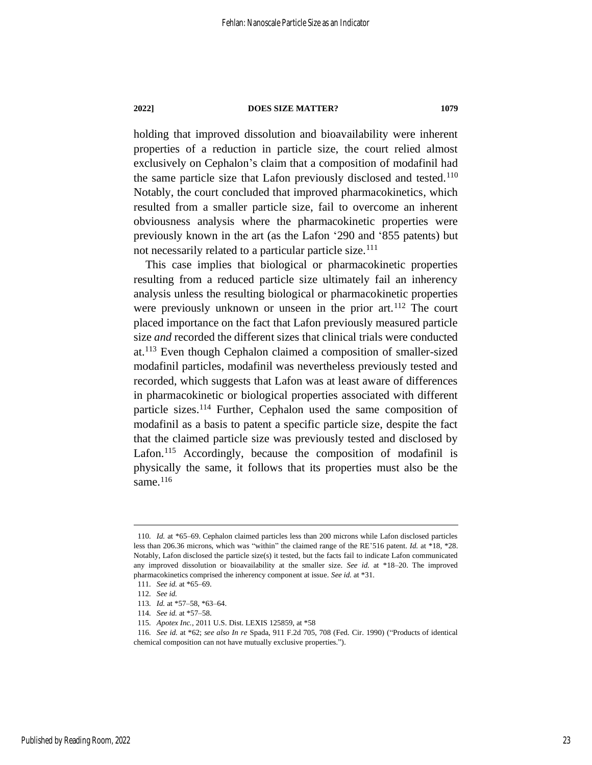holding that improved dissolution and bioavailability were inherent properties of a reduction in particle size, the court relied almost exclusively on Cephalon's claim that a composition of modafinil had the same particle size that Lafon previously disclosed and tested.<sup>110</sup> Notably, the court concluded that improved pharmacokinetics, which resulted from a smaller particle size, fail to overcome an inherent obviousness analysis where the pharmacokinetic properties were previously known in the art (as the Lafon '290 and '855 patents) but not necessarily related to a particular particle size.<sup>111</sup>

This case implies that biological or pharmacokinetic properties resulting from a reduced particle size ultimately fail an inherency analysis unless the resulting biological or pharmacokinetic properties were previously unknown or unseen in the prior art.<sup>112</sup> The court placed importance on the fact that Lafon previously measured particle size *and* recorded the different sizes that clinical trials were conducted at.<sup>113</sup> Even though Cephalon claimed a composition of smaller-sized modafinil particles, modafinil was nevertheless previously tested and recorded, which suggests that Lafon was at least aware of differences in pharmacokinetic or biological properties associated with different particle sizes.<sup>114</sup> Further, Cephalon used the same composition of modafinil as a basis to patent a specific particle size, despite the fact that the claimed particle size was previously tested and disclosed by Lafon.<sup>115</sup> Accordingly, because the composition of modafinil is physically the same, it follows that its properties must also be the same. $116$ 

<sup>110</sup>*. Id.* at \*65–69. Cephalon claimed particles less than 200 microns while Lafon disclosed particles less than 206.36 microns, which was "within" the claimed range of the RE'516 patent. *Id.* at \*18, \*28. Notably, Lafon disclosed the particle size(s) it tested, but the facts fail to indicate Lafon communicated any improved dissolution or bioavailability at the smaller size. *See id.* at \*18–20. The improved pharmacokinetics comprised the inherency component at issue. *See id.* at \*31.

<sup>111</sup>*. See id.* at \*65–69.

<sup>112</sup>*. See id.*

<sup>113</sup>*. Id.* at \*57–58, \*63–64.

<sup>114</sup>*. See id.* at \*57–58.

<sup>115</sup>*. Apotex Inc.*, 2011 U.S. Dist. LEXIS 125859, at \*58

<sup>116</sup>*. See id.* at \*62; *see also In re* Spada, 911 F.2d 705, 708 (Fed. Cir. 1990) ("Products of identical chemical composition can not have mutually exclusive properties.").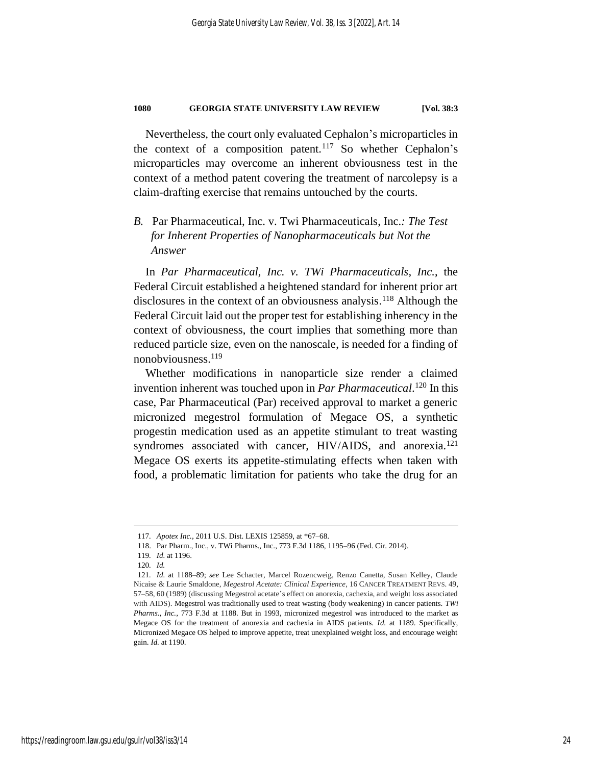Nevertheless, the court only evaluated Cephalon's microparticles in the context of a composition patent.<sup>117</sup> So whether Cephalon's microparticles may overcome an inherent obviousness test in the context of a method patent covering the treatment of narcolepsy is a claim-drafting exercise that remains untouched by the courts.

## *B.* Par Pharmaceutical, Inc. v. Twi Pharmaceuticals, Inc.*: The Test for Inherent Properties of Nanopharmaceuticals but Not the Answer*

In *Par Pharmaceutical, Inc. v. TWi Pharmaceuticals, Inc.*, the Federal Circuit established a heightened standard for inherent prior art disclosures in the context of an obviousness analysis.<sup>118</sup> Although the Federal Circuit laid out the proper test for establishing inherency in the context of obviousness, the court implies that something more than reduced particle size, even on the nanoscale, is needed for a finding of nonobviousness. 119

Whether modifications in nanoparticle size render a claimed invention inherent was touched upon in *Par Pharmaceutical*. <sup>120</sup> In this case, Par Pharmaceutical (Par) received approval to market a generic micronized megestrol formulation of Megace OS, a synthetic progestin medication used as an appetite stimulant to treat wasting syndromes associated with cancer, HIV/AIDS, and anorexia.<sup>121</sup> Megace OS exerts its appetite-stimulating effects when taken with food, a problematic limitation for patients who take the drug for an

<sup>117</sup>*. Apotex Inc.*, 2011 U.S. Dist. LEXIS 125859, at \*67–68.

<sup>118.</sup> Par Pharm., Inc., v. TWi Pharms., Inc., 773 F.3d 1186, 1195–96 (Fed. Cir. 2014).

<sup>119</sup>*. Id.* at 1196.

<sup>120</sup>*. Id.*

<sup>121</sup>*. Id.* at 1188–89; *see* Lee Schacter, Marcel Rozencweig, Renzo Canetta, Susan Kelley, Claude Nicaise & Laurie Smaldone, *Megestrol Acetate: Clinical Experience*, 16 CANCER TREATMENT REVS. 49, 57–58, 60 (1989) (discussing Megestrol acetate's effect on anorexia, cachexia, and weight loss associated with AIDS). Megestrol was traditionally used to treat wasting (body weakening) in cancer patients. *TWi Pharms., Inc.*, 773 F.3d at 1188. But in 1993, micronized megestrol was introduced to the market as Megace OS for the treatment of anorexia and cachexia in AIDS patients. *Id.* at 1189. Specifically, Micronized Megace OS helped to improve appetite, treat unexplained weight loss, and encourage weight gain. *Id.* at 1190.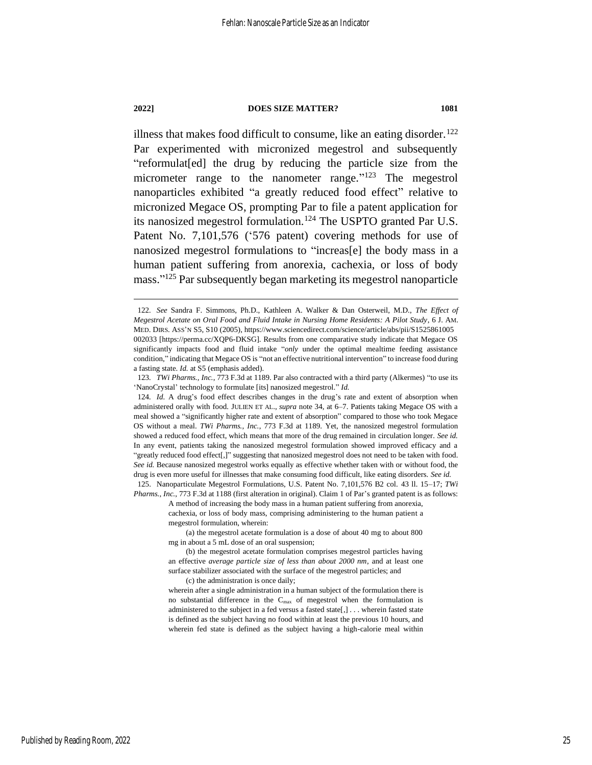illness that makes food difficult to consume, like an eating disorder.<sup>122</sup> Par experimented with micronized megestrol and subsequently "reformulat[ed] the drug by reducing the particle size from the micrometer range to the nanometer range."<sup>123</sup> The megestrol nanoparticles exhibited "a greatly reduced food effect" relative to micronized Megace OS, prompting Par to file a patent application for its nanosized megestrol formulation.<sup>124</sup> The USPTO granted Par U.S. Patent No. 7,101,576 ('576 patent) covering methods for use of nanosized megestrol formulations to "increas[e] the body mass in a human patient suffering from anorexia, cachexia, or loss of body mass." <sup>125</sup> Par subsequently began marketing its megestrol nanoparticle

(c) the administration is once daily;

<sup>122</sup>*. See* Sandra F. Simmons, Ph.D., Kathleen A. Walker & Dan Osterweil, M.D., *The Effect of Megestrol Acetate on Oral Food and Fluid Intake in Nursing Home Residents: A Pilot Study*, 6 J. AM. MED. DIRS. ASS'N S5, S10 (2005), https://www.sciencedirect.com/science/article/abs/pii/S1525861005 002033 [https://perma.cc/XQP6-DKSG]. Results from one comparative study indicate that Megace OS significantly impacts food and fluid intake "*only* under the optimal mealtime feeding assistance condition," indicating that Megace OS is "not an effective nutritional intervention" to increase food during a fasting state. *Id.* at S5 (emphasis added).

<sup>123</sup>*. TWi Pharms., Inc.*, 773 F.3d at 1189. Par also contracted with a third party (Alkermes) "to use its 'NanoCrystal' technology to formulate [its] nanosized megestrol." *Id.*

<sup>124</sup>*. Id.* A drug's food effect describes changes in the drug's rate and extent of absorption when administered orally with food. JULIEN ET AL., *supra* note 34, at 6–7. Patients taking Megace OS with a meal showed a "significantly higher rate and extent of absorption" compared to those who took Megace OS without a meal. *TWi Pharms., Inc.*, 773 F.3d at 1189. Yet, the nanosized megestrol formulation showed a reduced food effect, which means that more of the drug remained in circulation longer. *See id.* In any event, patients taking the nanosized megestrol formulation showed improved efficacy and a "greatly reduced food effect[,]" suggesting that nanosized megestrol does not need to be taken with food. *See id.* Because nanosized megestrol works equally as effective whether taken with or without food, the drug is even more useful for illnesses that make consuming food difficult, like eating disorders. *See id.* 125. Nanoparticulate Megestrol Formulations, U.S. Patent No. 7,101,576 B2 col. 43 ll. 15–17; *TWi* 

*Pharms., Inc.*, 773 F.3d at 1188 (first alteration in original). Claim 1 of Par's granted patent is as follows: A method of increasing the body mass in a human patient suffering from anorexia,

cachexia, or loss of body mass, comprising administering to the human patient a megestrol formulation, wherein:

<sup>(</sup>a) the megestrol acetate formulation is a dose of about 40 mg to about 800 mg in about a 5 mL dose of an oral suspension;

<sup>(</sup>b) the megestrol acetate formulation comprises megestrol particles having an effective *average particle size of less than about 2000 nm*, and at least one surface stabilizer associated with the surface of the megestrol particles; and

wherein after a single administration in a human subject of the formulation there is no substantial difference in the  $C_{\text{max}}$  of megestrol when the formulation is administered to the subject in a fed versus a fasted state[,] . . . wherein fasted state is defined as the subject having no food within at least the previous 10 hours, and wherein fed state is defined as the subject having a high-calorie meal within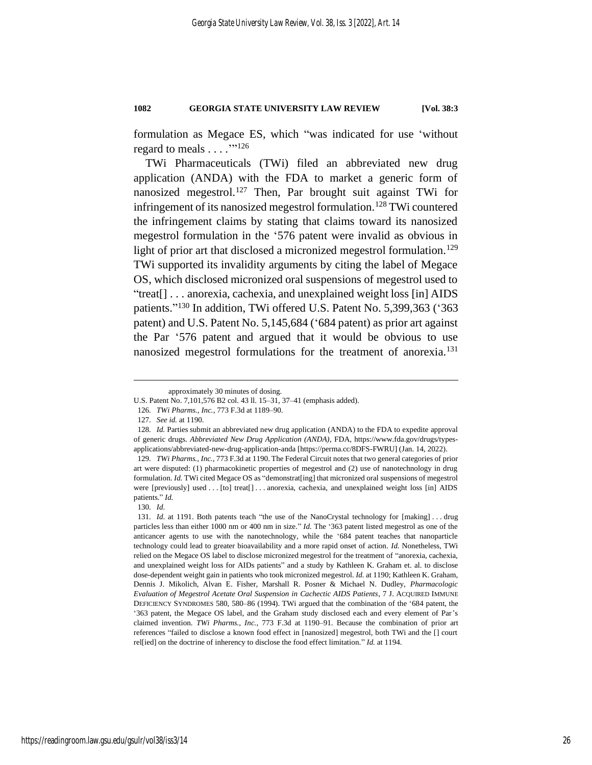formulation as Megace ES, which "was indicated for use 'without regard to meals . . . . "<sup>126</sup>

TWi Pharmaceuticals (TWi) filed an abbreviated new drug application (ANDA) with the FDA to market a generic form of nanosized megestrol.<sup>127</sup> Then, Par brought suit against TWi for infringement of its nanosized megestrol formulation.<sup>128</sup> TWi countered the infringement claims by stating that claims toward its nanosized megestrol formulation in the '576 patent were invalid as obvious in light of prior art that disclosed a micronized megestrol formulation.<sup>129</sup> TWi supported its invalidity arguments by citing the label of Megace OS, which disclosed micronized oral suspensions of megestrol used to "treat[] . . . anorexia, cachexia, and unexplained weight loss [in] AIDS patients."<sup>130</sup> In addition, TWi offered U.S. Patent No. 5,399,363 ('363 patent) and U.S. Patent No. 5,145,684 ('684 patent) as prior art against the Par '576 patent and argued that it would be obvious to use nanosized megestrol formulations for the treatment of anorexia.<sup>131</sup>

approximately 30 minutes of dosing.

U.S. Patent No. 7,101,576 B2 col. 43 ll. 15–31, 37–41 (emphasis added).

<sup>126</sup>*. TWi Pharms., Inc.*, 773 F.3d at 1189–90.

<sup>127</sup>*. See id.* at 1190.

<sup>128</sup>*. Id.* Parties submit an abbreviated new drug application (ANDA) to the FDA to expedite approval of generic drugs. *Abbreviated New Drug Application (ANDA)*, FDA, https://www.fda.gov/drugs/typesapplications/abbreviated-new-drug-application-anda [https://perma.cc/8DFS-FWRU] (Jan. 14, 2022).

<sup>129</sup>*. TWi Pharms., Inc.*, 773 F.3d at 1190. The Federal Circuit notes that two general categories of prior art were disputed: (1) pharmacokinetic properties of megestrol and (2) use of nanotechnology in drug formulation. *Id.* TWi cited Megace OS as "demonstrat[ing] that micronized oral suspensions of megestrol were [previously] used . . . [to] treat[] . . . anorexia, cachexia, and unexplained weight loss [in] AIDS patients." *Id.*

<sup>130</sup>*. Id.*

<sup>131</sup>*. Id.* at 1191. Both patents teach "the use of the NanoCrystal technology for [making] . . . drug particles less than either 1000 nm or 400 nm in size." *Id.* The '363 patent listed megestrol as one of the anticancer agents to use with the nanotechnology, while the '684 patent teaches that nanoparticle technology could lead to greater bioavailability and a more rapid onset of action. *Id.* Nonetheless, TWi relied on the Megace OS label to disclose micronized megestrol for the treatment of "anorexia, cachexia, and unexplained weight loss for AIDs patients" and a study by Kathleen K. Graham et. al. to disclose dose-dependent weight gain in patients who took micronized megestrol. *Id.* at 1190; Kathleen K. Graham, Dennis J. Mikolich, Alvan E. Fisher, Marshall R. Posner & Michael N. Dudley, *Pharmacologic Evaluation of Megestrol Acetate Oral Suspension in Cachectic AIDS Patients*, 7 J. ACQUIRED IMMUNE DEFICIENCY SYNDROMES 580, 580–86 (1994). TWi argued that the combination of the '684 patent, the '363 patent, the Megace OS label, and the Graham study disclosed each and every element of Par's claimed invention. *TWi Pharms., Inc.*, 773 F.3d at 1190–91. Because the combination of prior art references "failed to disclose a known food effect in [nanosized] megestrol, both TWi and the [] court rel[ied] on the doctrine of inherency to disclose the food effect limitation." *Id.* at 1194.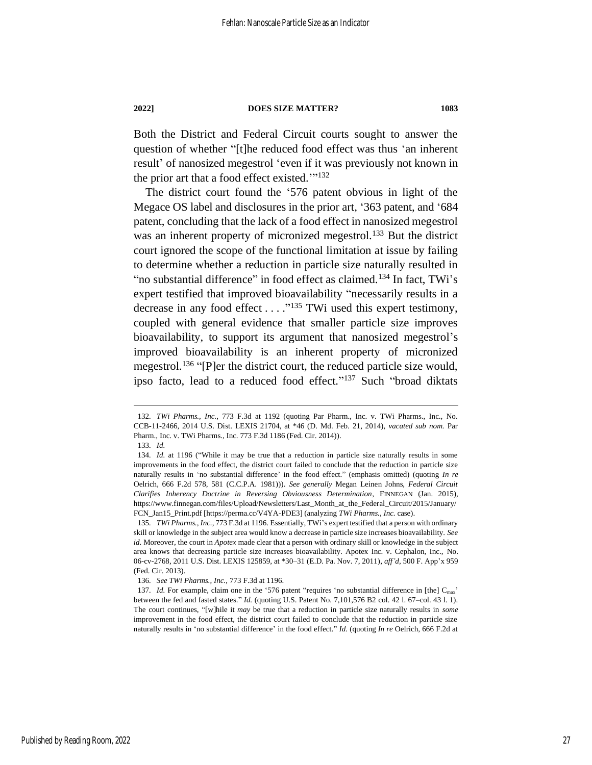Both the District and Federal Circuit courts sought to answer the question of whether "[t]he reduced food effect was thus 'an inherent result' of nanosized megestrol 'even if it was previously not known in the prior art that a food effect existed."<sup>132</sup>

<span id="page-27-0"></span>The district court found the '576 patent obvious in light of the Megace OS label and disclosures in the prior art, '363 patent, and '684 patent, concluding that the lack of a food effect in nanosized megestrol was an inherent property of micronized megestrol.<sup>133</sup> But the district court ignored the scope of the functional limitation at issue by failing to determine whether a reduction in particle size naturally resulted in "no substantial difference" in food effect as claimed.<sup>134</sup> In fact, TWi's expert testified that improved bioavailability "necessarily results in a decrease in any food effect . . . ." <sup>135</sup> TWi used this expert testimony, coupled with general evidence that smaller particle size improves bioavailability, to support its argument that nanosized megestrol's improved bioavailability is an inherent property of micronized megestrol.<sup>136</sup> "[P]er the district court, the reduced particle size would, ipso facto, lead to a reduced food effect."<sup>137</sup> Such "broad diktats

<sup>132</sup>*. TWi Pharms., Inc.*, 773 F.3d at 1192 (quoting Par Pharm., Inc. v. TWi Pharms., Inc., No. CCB-11-2466, 2014 U.S. Dist. LEXIS 21704, at \*46 (D. Md. Feb. 21, 2014), *vacated sub nom.* Par Pharm., Inc. v. TWi Pharms., Inc. 773 F.3d 1186 (Fed. Cir. 2014)).

<sup>133</sup>*. Id.*

<sup>134</sup>*. Id.* at 1196 ("While it may be true that a reduction in particle size naturally results in some improvements in the food effect, the district court failed to conclude that the reduction in particle size naturally results in 'no substantial difference' in the food effect." (emphasis omitted) (quoting *In re* Oelrich, 666 F.2d 578, 581 (C.C.P.A. 1981))). *See generally* Megan Leinen Johns, *Federal Circuit Clarifies Inherency Doctrine in Reversing Obviousness Determination*, FINNEGAN (Jan. 2015), https://www.finnegan.com/files/Upload/Newsletters/Last\_Month\_at\_the\_Federal\_Circuit/2015/January/ FCN\_Jan15\_Print.pdf [https://perma.cc/V4YA-PDE3] (analyzing *TWi Pharms., Inc.* case).

<sup>135</sup>*. TWi Pharms., Inc.*, 773 F.3d at 1196. Essentially, TWi's expert testified that a person with ordinary skill or knowledge in the subject area would know a decrease in particle size increases bioavailability. *See id.* Moreover, the court in *Apotex* made clear that a person with ordinary skill or knowledge in the subject area knows that decreasing particle size increases bioavailability. Apotex Inc. v. Cephalon, Inc., No. 06-cv-2768, 2011 U.S. Dist. LEXIS 125859, at \*30–31 (E.D. Pa. Nov. 7, 2011), *aff'd*, 500 F. App'x 959 (Fed. Cir. 2013).

<sup>136</sup>*. See TWi Pharms., Inc.*, 773 F.3d at 1196.

<sup>137</sup>*. Id.* For example, claim one in the '576 patent "requires 'no substantial difference in [the] C<sub>max</sub>' between the fed and fasted states." *Id.* (quoting U.S. Patent No. 7,101,576 B2 col. 42 l. 67–col. 43 l. 1). The court continues, "[w]hile it *may* be true that a reduction in particle size naturally results in *some* improvement in the food effect, the district court failed to conclude that the reduction in particle size naturally results in 'no substantial difference' in the food effect." *Id.* (quoting *In re* Oelrich, 666 F.2d at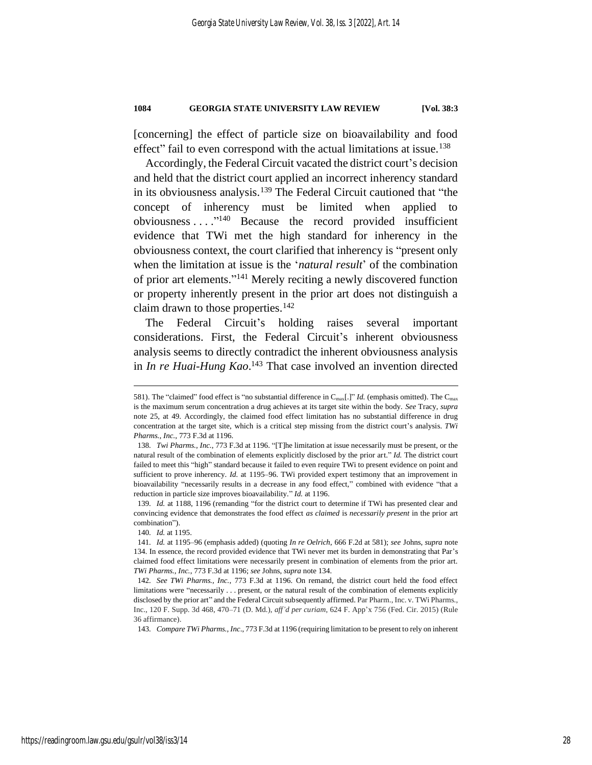[concerning] the effect of particle size on bioavailability and food effect" fail to even correspond with the actual limitations at issue.<sup>138</sup>

Accordingly, the Federal Circuit vacated the district court's decision and held that the district court applied an incorrect inherency standard in its obviousness analysis.<sup>139</sup> The Federal Circuit cautioned that "the concept of inherency must be limited when applied to obviousness . . . ." <sup>140</sup> Because the record provided insufficient evidence that TWi met the high standard for inherency in the obviousness context, the court clarified that inherency is "present only when the limitation at issue is the '*natural result*' of the combination of prior art elements." <sup>141</sup> Merely reciting a newly discovered function or property inherently present in the prior art does not distinguish a claim drawn to those properties.<sup>142</sup>

The Federal Circuit's holding raises several important considerations. First, the Federal Circuit's inherent obviousness analysis seems to directly contradict the inherent obviousness analysis in *In re Huai-Hung Kao*. <sup>143</sup> That case involved an invention directed

139*. Id.* at 1188, 1196 (remanding "for the district court to determine if TWi has presented clear and convincing evidence that demonstrates the food effect *as claimed* is *necessarily present* in the prior art combination").

143*. Compare TWi Pharms., Inc*., 773 F.3d at 1196 (requiring limitation to be present to rely on inherent

<sup>581).</sup> The "claimed" food effect is "no substantial difference in Cmax[.]" *Id.* (emphasis omitted). The Cmax is the maximum serum concentration a drug achieves at its target site within the body. *See* Tracy, *supra* note [25,](#page-8-1) at 49. Accordingly, the claimed food effect limitation has no substantial difference in drug concentration at the target site, which is a critical step missing from the district court's analysis. *TWi Pharms., Inc.*, 773 F.3d at 1196.

<sup>138</sup>*. Twi Pharms., Inc.*, 773 F.3d at 1196. "[T]he limitation at issue necessarily must be present, or the natural result of the combination of elements explicitly disclosed by the prior art." *Id.* The district court failed to meet this "high" standard because it failed to even require TWi to present evidence on point and sufficient to prove inherency. *Id.* at 1195–96. TWi provided expert testimony that an improvement in bioavailability "necessarily results in a decrease in any food effect," combined with evidence "that a reduction in particle size improves bioavailability." *Id.* at 1196.

<sup>140</sup>*. Id.* at 1195.

<sup>141</sup>*. Id.* at 1195–96 (emphasis added) (quoting *In re Oelrich*, 666 F.2d at 581); *see* Johns, *supra* note [134.](#page-27-0) In essence, the record provided evidence that TWi never met its burden in demonstrating that Par's claimed food effect limitations were necessarily present in combination of elements from the prior art. *TWi Pharms., Inc.*, 773 F.3d at 1196; *see* Johns, *supra* not[e 134.](#page-27-0)

<sup>142</sup>*. See TWi Pharms., Inc.*, 773 F.3d at 1196. On remand, the district court held the food effect limitations were "necessarily . . . present, or the natural result of the combination of elements explicitly disclosed by the prior art" and the Federal Circuit subsequently affirmed. Par Pharm., Inc. v. TWi Pharms., Inc., 120 F. Supp. 3d 468, 470–71 (D. Md.), *aff'd per curiam*, 624 F. App'x 756 (Fed. Cir. 2015) (Rule 36 affirmance).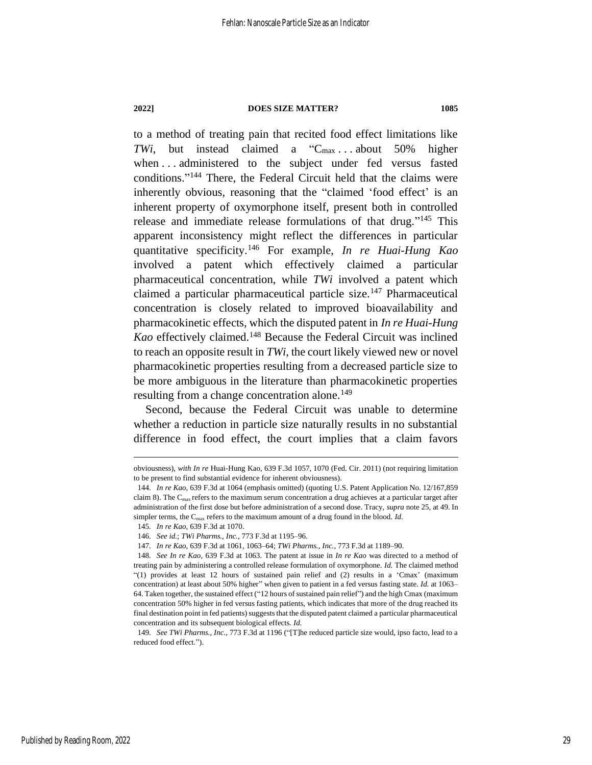to a method of treating pain that recited food effect limitations like *TWi*, but instead claimed a "C<sub>max</sub> ... about 50% higher when . . . administered to the subject under fed versus fasted conditions." <sup>144</sup> There, the Federal Circuit held that the claims were inherently obvious, reasoning that the "claimed 'food effect' is an inherent property of oxymorphone itself, present both in controlled release and immediate release formulations of that drug."<sup>145</sup> This apparent inconsistency might reflect the differences in particular quantitative specificity.<sup>146</sup> For example, *In re Huai-Hung Kao* involved a patent which effectively claimed a particular pharmaceutical concentration, while *TWi* involved a patent which claimed a particular pharmaceutical particle size.<sup>147</sup> Pharmaceutical concentration is closely related to improved bioavailability and pharmacokinetic effects, which the disputed patent in *In re Huai-Hung Kao* effectively claimed.<sup>148</sup> Because the Federal Circuit was inclined to reach an opposite result in *TWi*, the court likely viewed new or novel pharmacokinetic properties resulting from a decreased particle size to be more ambiguous in the literature than pharmacokinetic properties resulting from a change concentration alone.<sup>149</sup>

Second, because the Federal Circuit was unable to determine whether a reduction in particle size naturally results in no substantial difference in food effect, the court implies that a claim favors

obviousness), *with In re* Huai-Hung Kao, 639 F.3d 1057, 1070 (Fed. Cir. 2011) (not requiring limitation to be present to find substantial evidence for inherent obviousness).

<sup>144</sup>*. In re Kao*, 639 F.3d at 1064 (emphasis omitted) (quoting U.S. Patent Application No. 12/167,859 claim 8). The  $C_{\text{max}}$  refers to the maximum serum concentration a drug achieves at a particular target after administration of the first dose but before administration of a second dose. Tracy, *supra* note 25, at 49. In simpler terms, the  $C_{\text{max}}$  refers to the maximum amount of a drug found in the blood. *Id.* 

<sup>145</sup>*. In re Kao*, 639 F.3d at 1070.

<sup>146</sup>*. See id.*; *TWi Pharms., Inc.*, 773 F.3d at 1195–96.

<sup>147</sup>*. In re Kao*, 639 F.3d at 1061, 1063–64; *TWi Pharms., Inc.*, 773 F.3d at 1189–90.

<sup>148</sup>*. See In re Kao*, 639 F.3d at 1063. The patent at issue in *In re Kao* was directed to a method of treating pain by administering a controlled release formulation of oxymorphone. *Id.* The claimed method "(1) provides at least 12 hours of sustained pain relief and (2) results in a 'Cmax' (maximum concentration) at least about 50% higher" when given to patient in a fed versus fasting state. *Id.* at 1063– 64. Taken together, the sustained effect ("12 hours of sustained pain relief") and the high Cmax (maximum concentration 50% higher in fed versus fasting patients, which indicates that more of the drug reached its final destination point in fed patients) suggests that the disputed patent claimed a particular pharmaceutical concentration and its subsequent biological effects. *Id.*

<sup>149</sup>*. See TWi Pharms., Inc.*, 773 F.3d at 1196 ("[T]he reduced particle size would, ipso facto, lead to a reduced food effect.").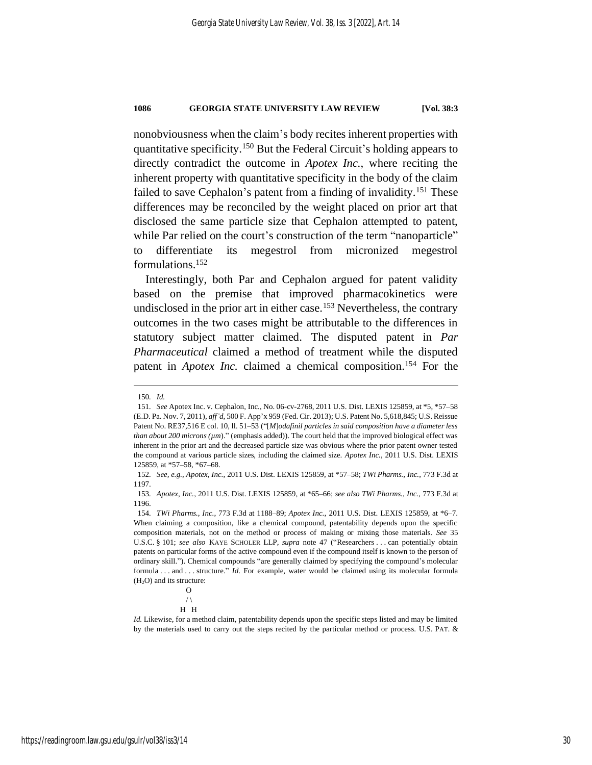nonobviousness when the claim's body recites inherent properties with quantitative specificity.<sup>150</sup> But the Federal Circuit's holding appears to directly contradict the outcome in *Apotex Inc.*, where reciting the inherent property with quantitative specificity in the body of the claim failed to save Cephalon's patent from a finding of invalidity.<sup>151</sup> These differences may be reconciled by the weight placed on prior art that disclosed the same particle size that Cephalon attempted to patent, while Par relied on the court's construction of the term "nanoparticle" to differentiate its megestrol from micronized megestrol formulations.<sup>152</sup>

Interestingly, both Par and Cephalon argued for patent validity based on the premise that improved pharmacokinetics were undisclosed in the prior art in either case.<sup>153</sup> Nevertheless, the contrary outcomes in the two cases might be attributable to the differences in statutory subject matter claimed. The disputed patent in *Par Pharmaceutical* claimed a method of treatment while the disputed patent in *Apotex Inc.* claimed a chemical composition.<sup>154</sup> For the

<sup>150</sup>*. Id.*

<sup>151</sup>*. See* Apotex Inc. v. Cephalon, Inc., No. 06-cv-2768, 2011 U.S. Dist. LEXIS 125859, at \*5, \*57–58 (E.D. Pa. Nov. 7, 2011), *aff'd*, 500 F. App'x 959 (Fed. Cir. 2013); U.S. Patent No. 5,618,845; U.S. Reissue Patent No. RE37,516 E col. 10, ll. 51–53 ("[*M*]*odafinil particles in said composition have a diameter less than about 200 microns (µm*)." (emphasis added)). The court held that the improved biological effect was inherent in the prior art and the decreased particle size was obvious where the prior patent owner tested the compound at various particle sizes, including the claimed size. *Apotex Inc.*, 2011 U.S. Dist. LEXIS 125859, at \*57–58, \*67–68.

<sup>152</sup>*. See, e.g.*, *Apotex, Inc.*, 2011 U.S. Dist. LEXIS 125859, at \*57–58; *TWi Pharms., Inc.*, 773 F.3d at 1197.

<sup>153</sup>*. Apotex, Inc.*, 2011 U.S. Dist. LEXIS 125859, at \*65–66; *see also TWi Pharms., Inc.*, 773 F.3d at 1196.

<sup>154</sup>*. TWi Pharms., Inc.*, 773 F.3d at 1188–89; *Apotex Inc.*, 2011 U.S. Dist. LEXIS 125859, at \*6–7. When claiming a composition, like a chemical compound, patentability depends upon the specific composition materials, not on the method or process of making or mixing those materials. *See* 35 U.S.C. § 101; *see also* KAYE SCHOLER LLP, *supra* note [47](#page-11-2) ("Researchers . . . can potentially obtain patents on particular forms of the active compound even if the compound itself is known to the person of ordinary skill."). Chemical compounds "are generally claimed by specifying the compound's molecular formula . . . and . . . structure." *Id.* For example, water would be claimed using its molecular formula  $(H<sub>2</sub>O)$  and its structure:

O  $/ \setminus$ 

H H

*Id.* Likewise, for a method claim, patentability depends upon the specific steps listed and may be limited by the materials used to carry out the steps recited by the particular method or process. U.S. PAT. &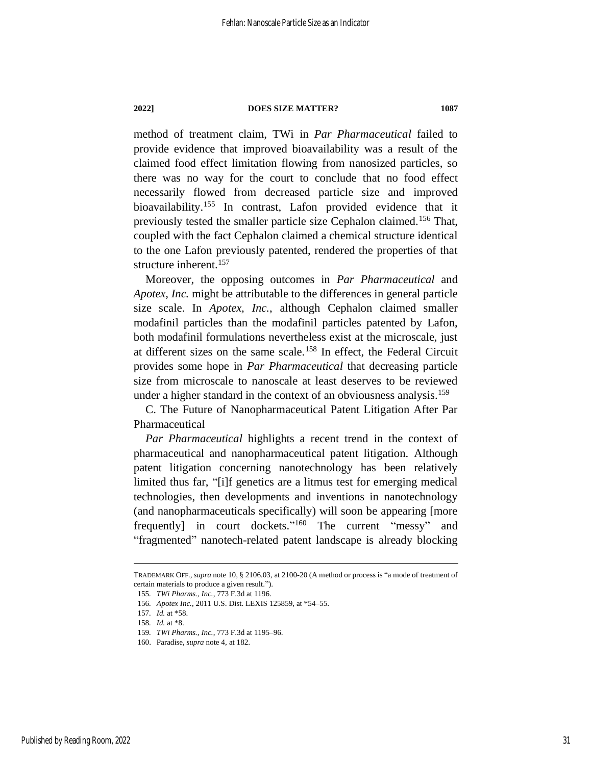method of treatment claim, TWi in *Par Pharmaceutical* failed to provide evidence that improved bioavailability was a result of the claimed food effect limitation flowing from nanosized particles, so there was no way for the court to conclude that no food effect necessarily flowed from decreased particle size and improved bioavailability.<sup>155</sup> In contrast, Lafon provided evidence that it previously tested the smaller particle size Cephalon claimed.<sup>156</sup> That, coupled with the fact Cephalon claimed a chemical structure identical to the one Lafon previously patented, rendered the properties of that structure inherent.<sup>157</sup>

Moreover, the opposing outcomes in *Par Pharmaceutical* and *Apotex, Inc.* might be attributable to the differences in general particle size scale. In *Apotex, Inc.*, although Cephalon claimed smaller modafinil particles than the modafinil particles patented by Lafon, both modafinil formulations nevertheless exist at the microscale, just at different sizes on the same scale.<sup>158</sup> In effect, the Federal Circuit provides some hope in *Par Pharmaceutical* that decreasing particle size from microscale to nanoscale at least deserves to be reviewed under a higher standard in the context of an obviousness analysis.<sup>159</sup>

C. The Future of Nanopharmaceutical Patent Litigation After Par Pharmaceutical

*Par Pharmaceutical* highlights a recent trend in the context of pharmaceutical and nanopharmaceutical patent litigation. Although patent litigation concerning nanotechnology has been relatively limited thus far, "[i]f genetics are a litmus test for emerging medical technologies, then developments and inventions in nanotechnology (and nanopharmaceuticals specifically) will soon be appearing [more frequently] in court dockets."<sup>160</sup> The current "messy" and "fragmented" nanotech-related patent landscape is already blocking

TRADEMARK OFF., *supra* not[e 10,](#page-5-0) § 2106.03, at 2100-20 (A method or process is "a mode of treatment of certain materials to produce a given result.").

<sup>155</sup>*. TWi Pharms., Inc.*, 773 F.3d at 1196.

<sup>156</sup>*. Apotex Inc.*, 2011 U.S. Dist. LEXIS 125859, at \*54–55.

<sup>157</sup>*. Id.* at \*58.

<sup>158</sup>*. Id.* at \*8.

<sup>159</sup>*. TWi Pharms., Inc.*, 773 F.3d at 1195–96.

<sup>160.</sup> Paradise, *supra* note [4,](#page-4-3) at 182.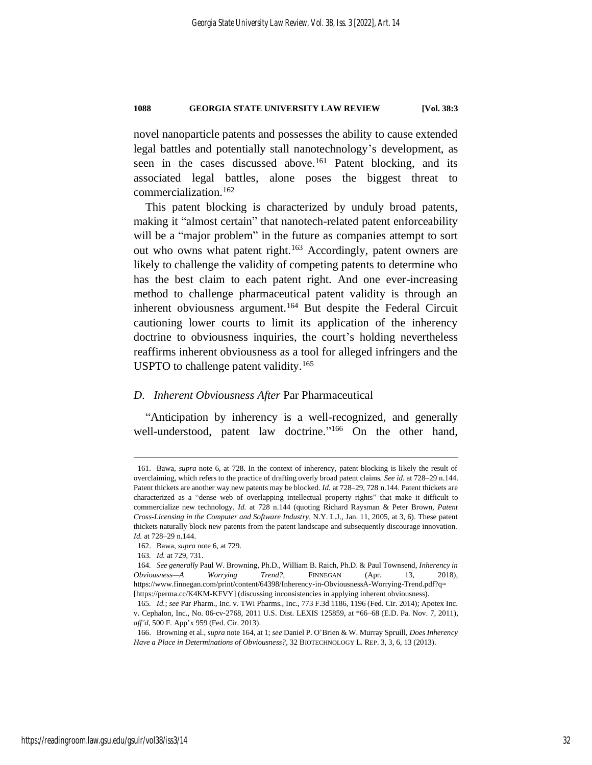novel nanoparticle patents and possesses the ability to cause extended legal battles and potentially stall nanotechnology's development, as seen in the cases discussed above.<sup>161</sup> Patent blocking, and its associated legal battles, alone poses the biggest threat to commercialization.<sup>162</sup>

This patent blocking is characterized by unduly broad patents, making it "almost certain" that nanotech-related patent enforceability will be a "major problem" in the future as companies attempt to sort out who owns what patent right.<sup>163</sup> Accordingly, patent owners are likely to challenge the validity of competing patents to determine who has the best claim to each patent right. And one ever-increasing method to challenge pharmaceutical patent validity is through an inherent obviousness argument.<sup>164</sup> But despite the Federal Circuit cautioning lower courts to limit its application of the inherency doctrine to obviousness inquiries, the court's holding nevertheless reaffirms inherent obviousness as a tool for alleged infringers and the USPTO to challenge patent validity.<sup>165</sup>

#### <span id="page-32-0"></span>*D. Inherent Obviousness After* Par Pharmaceutical

<span id="page-32-1"></span>"Anticipation by inherency is a well-recognized, and generally well-understood, patent law doctrine."<sup>166</sup> On the other hand,

<sup>161.</sup> Bawa, *supra* note [6,](#page-4-2) at 728. In the context of inherency, patent blocking is likely the result of overclaiming, which refers to the practice of drafting overly broad patent claims. *See id.* at 728–29 n.144. Patent thickets are another way new patents may be blocked. *Id.* at 728–29, 728 n.144. Patent thickets are characterized as a "dense web of overlapping intellectual property rights" that make it difficult to commercialize new technology. *Id.* at 728 n.144 (quoting Richard Raysman & Peter Brown, *Patent Cross-Licensing in the Computer and Software Industry*, N.Y. L.J., Jan. 11, 2005, at 3, 6). These patent thickets naturally block new patents from the patent landscape and subsequently discourage innovation. *Id.* at 728–29 n.144.

<sup>162.</sup> Bawa*, supra* not[e 6,](#page-4-2) at 729.

<sup>163</sup>*. Id.* at 729, 731.

<sup>164</sup>*. See generally* Paul W. Browning, Ph.D., William B. Raich, Ph.D. & Paul Townsend, *Inherency in Obviousness—A Worrying Trend?*, FINNEGAN (Apr. 13, 2018), https://www.finnegan.com/print/content/64398/Inherency-in-ObviousnessA-Worrying-Trend.pdf?q= [https://perma.cc/K4KM-KFVY] (discussing inconsistencies in applying inherent obviousness).

<sup>165</sup>*. Id.*; *see* Par Pharm., Inc. v. TWi Pharms., Inc., 773 F.3d 1186, 1196 (Fed. Cir. 2014); Apotex Inc. v. Cephalon, Inc., No. 06-cv-2768, 2011 U.S. Dist. LEXIS 125859, at \*66–68 (E.D. Pa. Nov. 7, 2011), *aff'd*, 500 F. App'x 959 (Fed. Cir. 2013).

<sup>166.</sup> Browning et al., *supra* note 164, at 1; *see* Daniel P. O'Brien & W. Murray Spruill, *Does Inherency Have a Place in Determinations of Obviousness?*, 32 BIOTECHNOLOGY L. REP. 3, 3, 6, 13 (2013).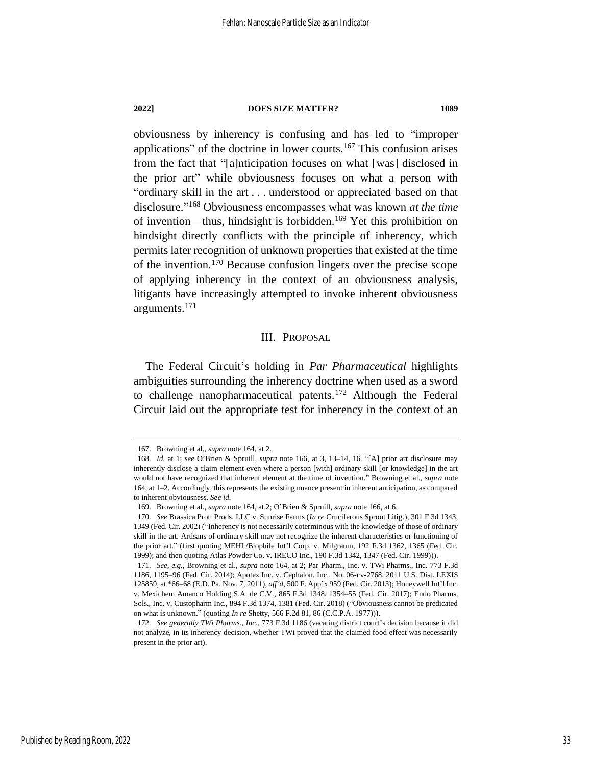obviousness by inherency is confusing and has led to "improper applications" of the doctrine in lower courts.<sup>167</sup> This confusion arises from the fact that "[a]nticipation focuses on what [was] disclosed in the prior art" while obviousness focuses on what a person with "ordinary skill in the art . . . understood or appreciated based on that disclosure." <sup>168</sup> Obviousness encompasses what was known *at the time* of invention—thus, hindsight is forbidden.<sup>169</sup> Yet this prohibition on hindsight directly conflicts with the principle of inherency, which permits later recognition of unknown properties that existed at the time of the invention.<sup>170</sup> Because confusion lingers over the precise scope of applying inherency in the context of an obviousness analysis, litigants have increasingly attempted to invoke inherent obviousness arguments.<sup>171</sup>

#### III. PROPOSAL

The Federal Circuit's holding in *Par Pharmaceutical* highlights ambiguities surrounding the inherency doctrine when used as a sword to challenge nanopharmaceutical patents.<sup>172</sup> Although the Federal Circuit laid out the appropriate test for inherency in the context of an

Published by Reading Room, 2022

<sup>167.</sup> Browning et al., *supra* not[e 164,](#page-32-0) at 2.

<sup>168</sup>*. Id.* at 1; *see* O'Brien & Spruill, *supra* note [166,](#page-32-1) at 3, 13–14, 16. "[A] prior art disclosure may inherently disclose a claim element even where a person [with] ordinary skill [or knowledge] in the art would not have recognized that inherent element at the time of invention." Browning et al., *supra* note [164,](#page-32-0) at 1–2. Accordingly, this represents the existing nuance present in inherent anticipation, as compared to inherent obviousness. *See id.*

<sup>169.</sup> Browning et al., *supra* not[e 164,](#page-32-0) at 2; O'Brien & Spruill, *supra* note [166,](#page-32-1) at 6.

<sup>170</sup>*. See* Brassica Prot. Prods. LLC v. Sunrise Farms (*In re* Cruciferous Sprout Litig.), 301 F.3d 1343, 1349 (Fed. Cir. 2002) ("Inherency is not necessarily coterminous with the knowledge of those of ordinary skill in the art. Artisans of ordinary skill may not recognize the inherent characteristics or functioning of the prior art." (first quoting MEHL/Biophile Int'l Corp. v. Milgraum, 192 F.3d 1362, 1365 (Fed. Cir. 1999); and then quoting Atlas Powder Co. v. IRECO Inc., 190 F.3d 1342, 1347 (Fed. Cir. 1999))).

<sup>171</sup>*. See, e.g.*, Browning et al., *supra* note [164,](#page-32-0) at 2; Par Pharm., Inc. v. TWi Pharms., Inc. 773 F.3d 1186, 1195–96 (Fed. Cir. 2014); Apotex Inc. v. Cephalon, Inc., No. 06-cv-2768, 2011 U.S. Dist. LEXIS 125859, at \*66–68 (E.D. Pa. Nov. 7, 2011), *aff'd*, 500 F. App'x 959 (Fed. Cir. 2013); Honeywell Int'l Inc. v. Mexichem Amanco Holding S.A. de C.V., 865 F.3d 1348, 1354–55 (Fed. Cir. 2017); Endo Pharms. Sols., Inc. v. Custopharm Inc., 894 F.3d 1374, 1381 (Fed. Cir. 2018) ("Obviousness cannot be predicated on what is unknown." (quoting *In re* Shetty, 566 F.2d 81, 86 (C.C.P.A. 1977))).

<sup>172</sup>*. See generally TWi Pharms., Inc.*, 773 F.3d 1186 (vacating district court's decision because it did not analyze, in its inherency decision, whether TWi proved that the claimed food effect was necessarily present in the prior art).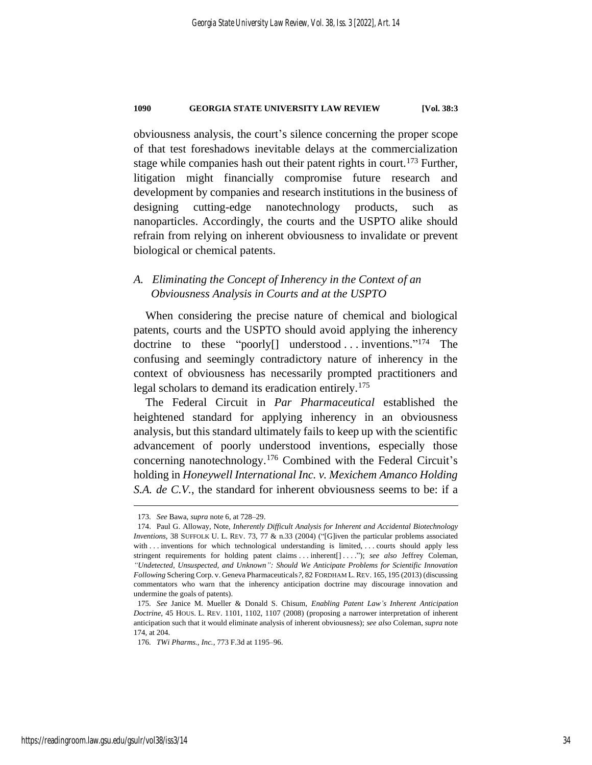obviousness analysis, the court's silence concerning the proper scope of that test foreshadows inevitable delays at the commercialization stage while companies hash out their patent rights in court.<sup>173</sup> Further, litigation might financially compromise future research and development by companies and research institutions in the business of designing cutting-edge nanotechnology products, such as nanoparticles. Accordingly, the courts and the USPTO alike should refrain from relying on inherent obviousness to invalidate or prevent biological or chemical patents.

## *A. Eliminating the Concept of Inherency in the Context of an Obviousness Analysis in Courts and at the USPTO*

<span id="page-34-0"></span>When considering the precise nature of chemical and biological patents, courts and the USPTO should avoid applying the inherency doctrine to these "poorly<sup>[]</sup> understood ... inventions."<sup>174</sup> The confusing and seemingly contradictory nature of inherency in the context of obviousness has necessarily prompted practitioners and legal scholars to demand its eradication entirely.<sup>175</sup>

<span id="page-34-1"></span>The Federal Circuit in *Par Pharmaceutical* established the heightened standard for applying inherency in an obviousness analysis, but this standard ultimately fails to keep up with the scientific advancement of poorly understood inventions, especially those concerning nanotechnology.<sup>176</sup> Combined with the Federal Circuit's holding in *Honeywell International Inc. v. Mexichem Amanco Holding S.A. de C.V.*, the standard for inherent obviousness seems to be: if a

<sup>173</sup>*. See* Bawa, *supra* not[e 6,](#page-4-2) at 728–29.

<sup>174.</sup> Paul G. Alloway, Note, *Inherently Difficult Analysis for Inherent and Accidental Biotechnology Inventions*, 38 SUFFOLK U. L. REV. 73, 77 & n.33 (2004) ("[G]iven the particular problems associated with . . . inventions for which technological understanding is limited, . . . courts should apply less stringent requirements for holding patent claims . . . inherent[] . . . ."); *see also* Jeffrey Coleman, *"Undetected, Unsuspected, and Unknown": Should We Anticipate Problems for Scientific Innovation Following* Schering Corp. v. Geneva Pharmaceuticals*?*, 82 FORDHAM L. REV. 165, 195 (2013) (discussing commentators who warn that the inherency anticipation doctrine may discourage innovation and undermine the goals of patents).

<sup>175</sup>*. See* Janice M. Mueller & Donald S. Chisum, *Enabling Patent Law's Inherent Anticipation Doctrine*, 45 HOUS. L. REV. 1101, 1102, 1107 (2008) (proposing a narrower interpretation of inherent anticipation such that it would eliminate analysis of inherent obviousness); *see also* Coleman, *supra* note [174,](#page-34-0) at 204.

<sup>176</sup>*. TWi Pharms., Inc.*, 773 F.3d at 1195–96.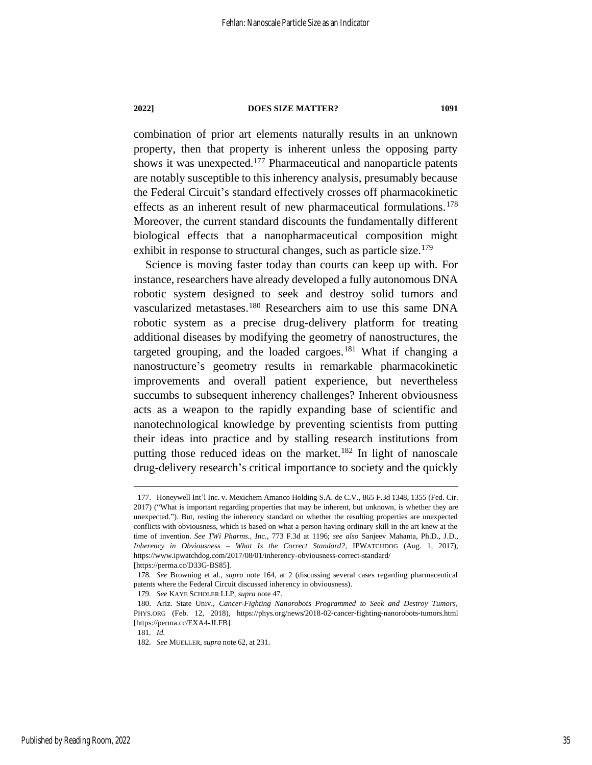<span id="page-35-0"></span>combination of prior art elements naturally results in an unknown property, then that property is inherent unless the opposing party shows it was unexpected.<sup>177</sup> Pharmaceutical and nanoparticle patents are notably susceptible to this inherency analysis, presumably because the Federal Circuit's standard effectively crosses off pharmacokinetic effects as an inherent result of new pharmaceutical formulations.<sup>178</sup> Moreover, the current standard discounts the fundamentally different biological effects that a nanopharmaceutical composition might exhibit in response to structural changes, such as particle size.<sup>179</sup>

Science is moving faster today than courts can keep up with. For instance, researchers have already developed a fully autonomous DNA robotic system designed to seek and destroy solid tumors and vascularized metastases.<sup>180</sup> Researchers aim to use this same DNA robotic system as a precise drug-delivery platform for treating additional diseases by modifying the geometry of nanostructures, the targeted grouping, and the loaded cargoes.<sup>181</sup> What if changing a nanostructure's geometry results in remarkable pharmacokinetic improvements and overall patient experience, but nevertheless succumbs to subsequent inherency challenges? Inherent obviousness acts as a weapon to the rapidly expanding base of scientific and nanotechnological knowledge by preventing scientists from putting their ideas into practice and by stalling research institutions from putting those reduced ideas on the market.<sup>182</sup> In light of nanoscale drug-delivery research's critical importance to society and the quickly

<sup>177.</sup> Honeywell Int'l Inc. v. Mexichem Amanco Holding S.A. de C.V., 865 F.3d 1348, 1355 (Fed. Cir. 2017) ("What is important regarding properties that may be inherent, but unknown, is whether they are unexpected."). But, resting the inherency standard on whether the resulting properties are unexpected conflicts with obviousness, which is based on what a person having ordinary skill in the art knew at the time of invention. *See TWi Pharms., Inc.*, 773 F.3d at 1196; *see also* Sanjeev Mahanta, Ph.D., J.D., *Inherency in Obviousness – What Is the Correct Standard?*, IPWATCHDOG (Aug. 1, 2017), https://www.ipwatchdog.com/2017/08/01/inherency-obviousness-correct-standard/ [https://perma.cc/D33G-BS85].

<sup>178</sup>*. See* Browning et al., *supra* note [164,](#page-32-0) at 2 (discussing several cases regarding pharmaceutical patents where the Federal Circuit discussed inherency in obviousness).

<sup>179</sup>*. See* KAYE SCHOLER LLP, *supra* not[e 47.](#page-11-2)

<sup>180.</sup> Ariz. State Univ., *Cancer-Fighting Nanorobots Programmed to Seek and Destroy Tumors*, PHYS.ORG (Feb. 12, 2018), https://phys.org/news/2018-02-cancer-fighting-nanorobots-tumors.html [https://perma.cc/EXA4-JLFB].

<sup>181</sup>*. Id.*

<sup>182</sup>*. See* MUELLER, *supra* note [62,](#page-13-0) at 231.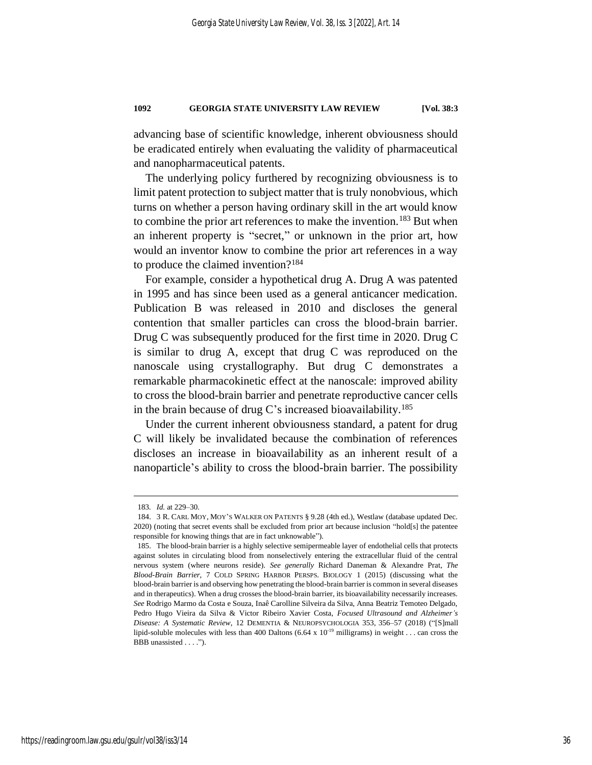advancing base of scientific knowledge, inherent obviousness should be eradicated entirely when evaluating the validity of pharmaceutical and nanopharmaceutical patents.

The underlying policy furthered by recognizing obviousness is to limit patent protection to subject matter that is truly nonobvious, which turns on whether a person having ordinary skill in the art would know to combine the prior art references to make the invention.<sup>183</sup> But when an inherent property is "secret," or unknown in the prior art, how would an inventor know to combine the prior art references in a way to produce the claimed invention?<sup>184</sup>

For example, consider a hypothetical drug A. Drug A was patented in 1995 and has since been used as a general anticancer medication. Publication B was released in 2010 and discloses the general contention that smaller particles can cross the blood-brain barrier. Drug C was subsequently produced for the first time in 2020. Drug C is similar to drug A, except that drug C was reproduced on the nanoscale using crystallography. But drug C demonstrates a remarkable pharmacokinetic effect at the nanoscale: improved ability to cross the blood-brain barrier and penetrate reproductive cancer cells in the brain because of drug C's increased bioavailability.<sup>185</sup>

Under the current inherent obviousness standard, a patent for drug C will likely be invalidated because the combination of references discloses an increase in bioavailability as an inherent result of a nanoparticle's ability to cross the blood-brain barrier. The possibility

<sup>183</sup>*. Id.* at 229–30.

<sup>184.</sup> 3 R. CARL MOY, MOY'S WALKER ON PATENTS § 9.28 (4th ed.), Westlaw (database updated Dec. 2020) (noting that secret events shall be excluded from prior art because inclusion "hold[s] the patentee responsible for knowing things that are in fact unknowable").

<sup>185.</sup> The blood-brain barrier is a highly selective semipermeable layer of endothelial cells that protects against solutes in circulating blood from nonselectively entering the extracellular fluid of the central nervous system (where neurons reside). *See generally* Richard Daneman & Alexandre Prat, *The Blood-Brain Barrier*, 7 COLD SPRING HARBOR PERSPS. BIOLOGY 1 (2015) (discussing what the blood-brain barrier is and observing how penetrating the blood-brain barrier is common in several diseases and in therapeutics). When a drug crosses the blood-brain barrier, its bioavailability necessarily increases. *See* Rodrigo Marmo da Costa e Souza, Inaê Carolline Silveira da Silva, Anna Beatriz Temoteo Delgado, Pedro Hugo Vieira da Silva & Victor Ribeiro Xavier Costa, *Focused Ultrasound and Alzheimer's Disease: A Systematic Review*, 12 DEMENTIA & NEUROPSYCHOLOGIA 353, 356–57 (2018) ("[S]mall lipid-soluble molecules with less than 400 Daltons (6.64 x  $10^{-19}$  milligrams) in weight . . . can cross the BBB unassisted . . . .").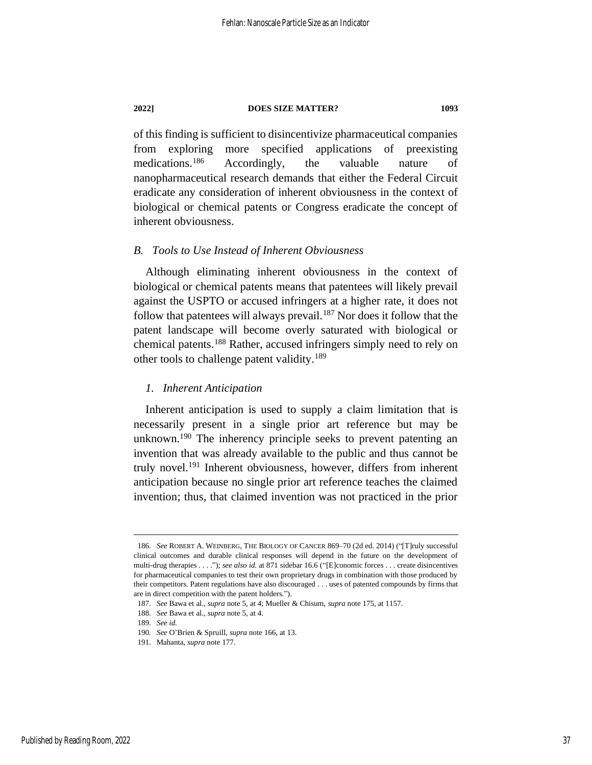of this finding is sufficient to disincentivize pharmaceutical companies from exploring more specified applications of preexisting medications.<sup>186</sup> Accordingly, the valuable nature of nanopharmaceutical research demands that either the Federal Circuit eradicate any consideration of inherent obviousness in the context of biological or chemical patents or Congress eradicate the concept of inherent obviousness.

#### *B. Tools to Use Instead of Inherent Obviousness*

Although eliminating inherent obviousness in the context of biological or chemical patents means that patentees will likely prevail against the USPTO or accused infringers at a higher rate, it does not follow that patentees will always prevail.<sup>187</sup> Nor does it follow that the patent landscape will become overly saturated with biological or chemical patents.<sup>188</sup> Rather, accused infringers simply need to rely on other tools to challenge patent validity.<sup>189</sup>

#### *1. Inherent Anticipation*

Inherent anticipation is used to supply a claim limitation that is necessarily present in a single prior art reference but may be unknown.<sup>190</sup> The inherency principle seeks to prevent patenting an invention that was already available to the public and thus cannot be truly novel.<sup>191</sup> Inherent obviousness, however, differs from inherent anticipation because no single prior art reference teaches the claimed invention; thus, that claimed invention was not practiced in the prior

<sup>186</sup>*. See* ROBERT A. WEINBERG, THE BIOLOGY OF CANCER 869–70 (2d ed. 2014) ("[T]ruly successful clinical outcomes and durable clinical responses will depend in the future on the development of multi-drug therapies . . . ."); *see also id.* at 871 sidebar 16.6 ("[E]conomic forces . . . create disincentives for pharmaceutical companies to test their own proprietary drugs in combination with those produced by their competitors. Patent regulations have also discouraged . . . uses of patented compounds by firms that are in direct competition with the patent holders.").

<sup>187</sup>*. See* Bawa et al., *supra* note [5,](#page-4-1) at 4; Mueller & Chisum, *supra* not[e 175,](#page-34-1) at 1157.

<sup>188</sup>*. See* Bawa et al., *supra* note [5,](#page-4-1) at 4.

<sup>189</sup>*. See id.*

<sup>190</sup>*. See* O'Brien & Spruill, *supra* not[e 166,](#page-32-1) at 13.

<sup>191.</sup> Mahanta, *supra* note [177.](#page-35-0)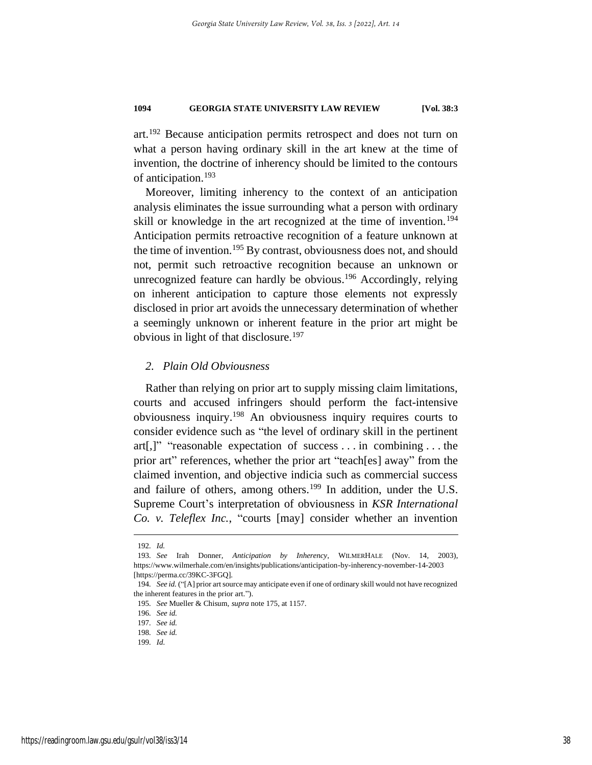art.<sup>192</sup> Because anticipation permits retrospect and does not turn on what a person having ordinary skill in the art knew at the time of invention, the doctrine of inherency should be limited to the contours of anticipation.<sup>193</sup>

Moreover, limiting inherency to the context of an anticipation analysis eliminates the issue surrounding what a person with ordinary skill or knowledge in the art recognized at the time of invention.<sup>194</sup> Anticipation permits retroactive recognition of a feature unknown at the time of invention.<sup>195</sup> By contrast, obviousness does not, and should not, permit such retroactive recognition because an unknown or unrecognized feature can hardly be obvious.<sup>196</sup> Accordingly, relying on inherent anticipation to capture those elements not expressly disclosed in prior art avoids the unnecessary determination of whether a seemingly unknown or inherent feature in the prior art might be obvious in light of that disclosure.<sup>197</sup>

#### *2. Plain Old Obviousness*

Rather than relying on prior art to supply missing claim limitations, courts and accused infringers should perform the fact-intensive obviousness inquiry.<sup>198</sup> An obviousness inquiry requires courts to consider evidence such as "the level of ordinary skill in the pertinent art[,]" "reasonable expectation of success . . . in combining . . . the prior art" references, whether the prior art "teach[es] away" from the claimed invention, and objective indicia such as commercial success and failure of others, among others.<sup>199</sup> In addition, under the U.S. Supreme Court's interpretation of obviousness in *KSR International Co. v. Teleflex Inc.*, "courts [may] consider whether an invention

<sup>192</sup>*. Id.*

<sup>193</sup>*. See* Irah Donner, *Anticipation by Inherency*, WILMERHALE (Nov. 14, 2003), https://www.wilmerhale.com/en/insights/publications/anticipation-by-inherency-november-14-2003 [https://perma.cc/39KC-3FGQ].

<sup>194</sup>*. See id.* ("[A] prior art source may anticipate even if one of ordinary skill would not have recognized the inherent features in the prior art.").

<sup>195</sup>*. See* Mueller & Chisum*, supra* not[e 175,](#page-34-1) at 1157.

<sup>196</sup>*. See id.*

<sup>197</sup>*. See id.*

<sup>198</sup>*. See id.* 199*. Id.*